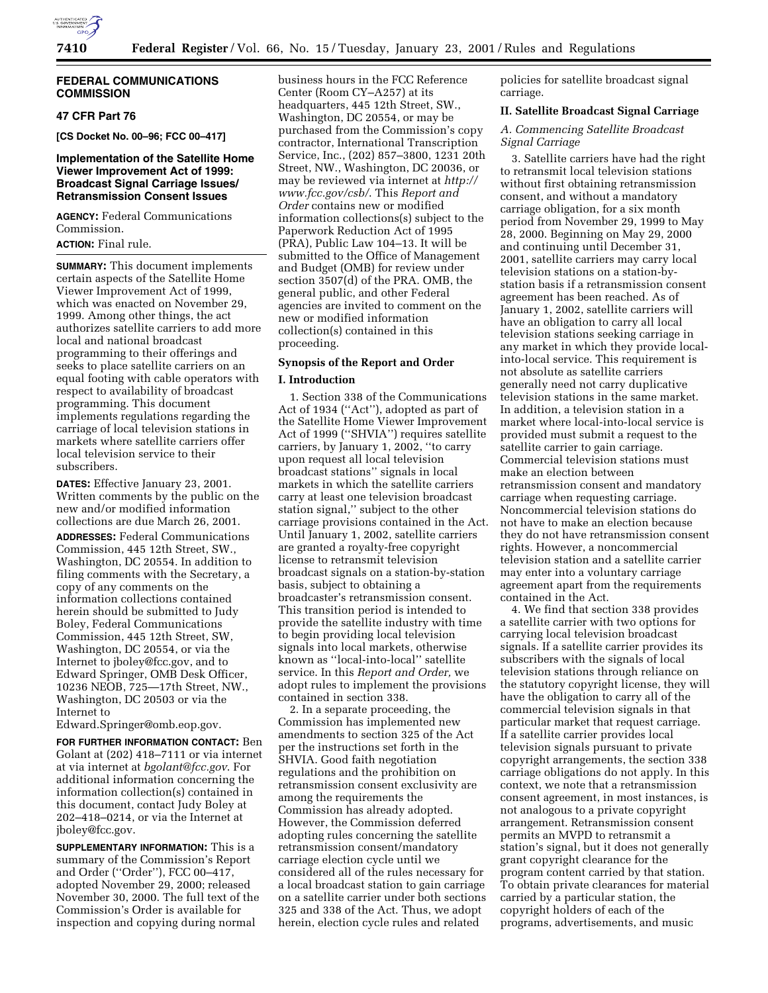

### **FEDERAL COMMUNICATIONS COMMISSION**

# **47 CFR Part 76**

**[CS Docket No. 00–96; FCC 00–417]**

# **Implementation of the Satellite Home Viewer Improvement Act of 1999: Broadcast Signal Carriage Issues/ Retransmission Consent Issues**

**AGENCY:** Federal Communications Commission.

# **ACTION:** Final rule.

**SUMMARY:** This document implements certain aspects of the Satellite Home Viewer Improvement Act of 1999, which was enacted on November 29, 1999. Among other things, the act authorizes satellite carriers to add more local and national broadcast programming to their offerings and seeks to place satellite carriers on an equal footing with cable operators with respect to availability of broadcast programming. This document implements regulations regarding the carriage of local television stations in markets where satellite carriers offer local television service to their subscribers.

**DATES:** Effective January 23, 2001. Written comments by the public on the new and/or modified information collections are due March 26, 2001.

**ADDRESSES:** Federal Communications Commission, 445 12th Street, SW., Washington, DC 20554. In addition to filing comments with the Secretary, a copy of any comments on the information collections contained herein should be submitted to Judy Boley, Federal Communications Commission, 445 12th Street, SW, Washington, DC 20554, or via the Internet to jboley@fcc.gov, and to Edward Springer, OMB Desk Officer, 10236 NEOB, 725—17th Street, NW., Washington, DC 20503 or via the Internet to

Edward.Springer@omb.eop.gov.

**FOR FURTHER INFORMATION CONTACT:** Ben Golant at (202) 418–7111 or via internet at via internet at *bgolant@fcc.gov*. For additional information concerning the information collection(s) contained in this document, contact Judy Boley at 202–418–0214, or via the Internet at jboley@fcc.gov.

**SUPPLEMENTARY INFORMATION:** This is a summary of the Commission's Report and Order (''Order''), FCC 00–417, adopted November 29, 2000; released November 30, 2000. The full text of the Commission's Order is available for inspection and copying during normal

business hours in the FCC Reference Center (Room CY–A257) at its headquarters, 445 12th Street, SW., Washington, DC 20554, or may be purchased from the Commission's copy contractor, International Transcription Service, Inc., (202) 857–3800, 1231 20th Street, NW., Washington, DC 20036, or may be reviewed via internet at *http:// www.fcc.gov/csb/*. This *Report and Order* contains new or modified information collections(s) subject to the Paperwork Reduction Act of 1995 (PRA), Public Law 104–13. It will be submitted to the Office of Management and Budget (OMB) for review under section 3507(d) of the PRA. OMB, the general public, and other Federal agencies are invited to comment on the new or modified information collection(s) contained in this proceeding.

## **Synopsis of the Report and Order**

### **I. Introduction**

1. Section 338 of the Communications Act of 1934 (''Act''), adopted as part of the Satellite Home Viewer Improvement Act of 1999 (''SHVIA'') requires satellite carriers, by January 1, 2002, ''to carry upon request all local television broadcast stations'' signals in local markets in which the satellite carriers carry at least one television broadcast station signal,'' subject to the other carriage provisions contained in the Act. Until January 1, 2002, satellite carriers are granted a royalty-free copyright license to retransmit television broadcast signals on a station-by-station basis, subject to obtaining a broadcaster's retransmission consent. This transition period is intended to provide the satellite industry with time to begin providing local television signals into local markets, otherwise known as ''local-into-local'' satellite service. In this *Report and Order,* we adopt rules to implement the provisions contained in section 338.

2. In a separate proceeding, the Commission has implemented new amendments to section 325 of the Act per the instructions set forth in the SHVIA. Good faith negotiation regulations and the prohibition on retransmission consent exclusivity are among the requirements the Commission has already adopted. However, the Commission deferred adopting rules concerning the satellite retransmission consent/mandatory carriage election cycle until we considered all of the rules necessary for a local broadcast station to gain carriage on a satellite carrier under both sections 325 and 338 of the Act. Thus, we adopt herein, election cycle rules and related

policies for satellite broadcast signal carriage.

## **II. Satellite Broadcast Signal Carriage**

*A. Commencing Satellite Broadcast Signal Carriage*

3. Satellite carriers have had the right to retransmit local television stations without first obtaining retransmission consent, and without a mandatory carriage obligation, for a six month period from November 29, 1999 to May 28, 2000. Beginning on May 29, 2000 and continuing until December 31, 2001, satellite carriers may carry local television stations on a station-bystation basis if a retransmission consent agreement has been reached. As of January 1, 2002, satellite carriers will have an obligation to carry all local television stations seeking carriage in any market in which they provide localinto-local service. This requirement is not absolute as satellite carriers generally need not carry duplicative television stations in the same market. In addition, a television station in a market where local-into-local service is provided must submit a request to the satellite carrier to gain carriage. Commercial television stations must make an election between retransmission consent and mandatory carriage when requesting carriage. Noncommercial television stations do not have to make an election because they do not have retransmission consent rights. However, a noncommercial television station and a satellite carrier may enter into a voluntary carriage agreement apart from the requirements contained in the Act.

4. We find that section 338 provides a satellite carrier with two options for carrying local television broadcast signals. If a satellite carrier provides its subscribers with the signals of local television stations through reliance on the statutory copyright license, they will have the obligation to carry all of the commercial television signals in that particular market that request carriage. If a satellite carrier provides local television signals pursuant to private copyright arrangements, the section 338 carriage obligations do not apply. In this context, we note that a retransmission consent agreement, in most instances, is not analogous to a private copyright arrangement. Retransmission consent permits an MVPD to retransmit a station's signal, but it does not generally grant copyright clearance for the program content carried by that station. To obtain private clearances for material carried by a particular station, the copyright holders of each of the programs, advertisements, and music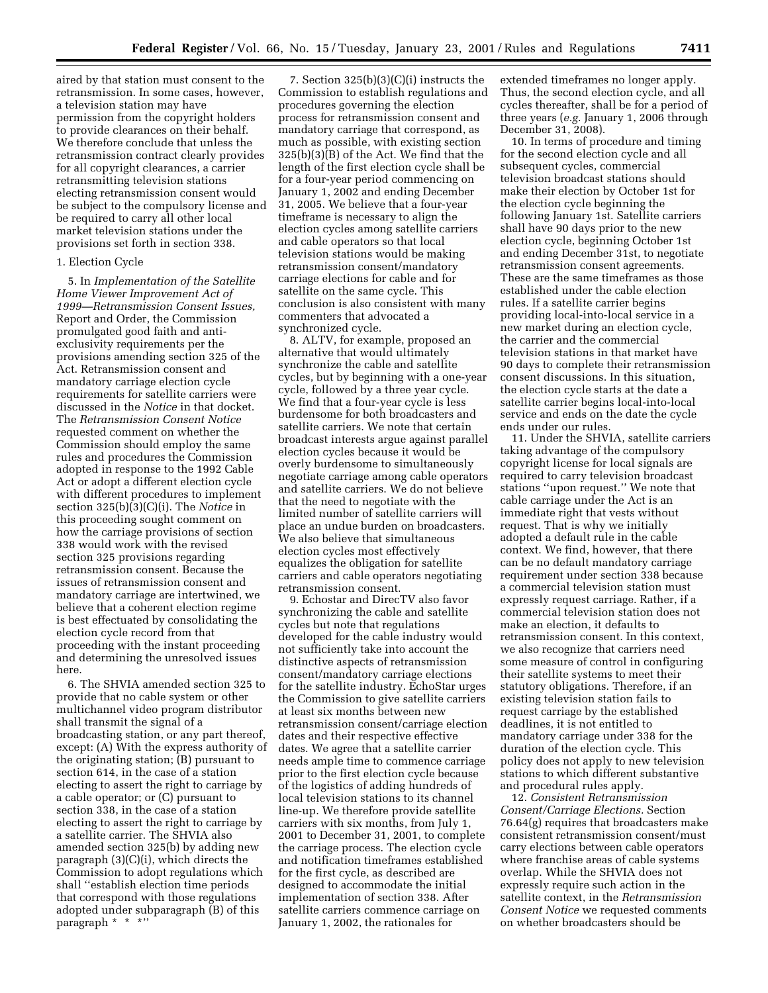aired by that station must consent to the retransmission. In some cases, however, a television station may have permission from the copyright holders to provide clearances on their behalf. We therefore conclude that unless the retransmission contract clearly provides for all copyright clearances, a carrier retransmitting television stations electing retransmission consent would be subject to the compulsory license and be required to carry all other local market television stations under the provisions set forth in section 338.

#### 1. Election Cycle

5. In *Implementation of the Satellite Home Viewer Improvement Act of 1999—Retransmission Consent Issues,* Report and Order, the Commission promulgated good faith and antiexclusivity requirements per the provisions amending section 325 of the Act. Retransmission consent and mandatory carriage election cycle requirements for satellite carriers were discussed in the *Notice* in that docket. The *Retransmission Consent Notice* requested comment on whether the Commission should employ the same rules and procedures the Commission adopted in response to the 1992 Cable Act or adopt a different election cycle with different procedures to implement section 325(b)(3)(C)(i). The *Notice* in this proceeding sought comment on how the carriage provisions of section 338 would work with the revised section 325 provisions regarding retransmission consent. Because the issues of retransmission consent and mandatory carriage are intertwined, we believe that a coherent election regime is best effectuated by consolidating the election cycle record from that proceeding with the instant proceeding and determining the unresolved issues here.

6. The SHVIA amended section 325 to provide that no cable system or other multichannel video program distributor shall transmit the signal of a broadcasting station, or any part thereof, except: (A) With the express authority of the originating station; (B) pursuant to section 614, in the case of a station electing to assert the right to carriage by a cable operator; or (C) pursuant to section 338, in the case of a station electing to assert the right to carriage by a satellite carrier. The SHVIA also amended section 325(b) by adding new paragraph (3)(C)(i), which directs the Commission to adopt regulations which shall ''establish election time periods that correspond with those regulations adopted under subparagraph (B) of this paragraph \* \* \*''

7. Section 325(b)(3)(C)(i) instructs the Commission to establish regulations and procedures governing the election process for retransmission consent and mandatory carriage that correspond, as much as possible, with existing section 325(b)(3)(B) of the Act. We find that the length of the first election cycle shall be for a four-year period commencing on January 1, 2002 and ending December 31, 2005. We believe that a four-year timeframe is necessary to align the election cycles among satellite carriers and cable operators so that local television stations would be making retransmission consent/mandatory carriage elections for cable and for satellite on the same cycle. This conclusion is also consistent with many commenters that advocated a synchronized cycle.

8. ALTV, for example, proposed an alternative that would ultimately synchronize the cable and satellite cycles, but by beginning with a one-year cycle, followed by a three year cycle. We find that a four-year cycle is less burdensome for both broadcasters and satellite carriers. We note that certain broadcast interests argue against parallel election cycles because it would be overly burdensome to simultaneously negotiate carriage among cable operators and satellite carriers. We do not believe that the need to negotiate with the limited number of satellite carriers will place an undue burden on broadcasters. We also believe that simultaneous election cycles most effectively equalizes the obligation for satellite carriers and cable operators negotiating retransmission consent.

9. Echostar and DirecTV also favor synchronizing the cable and satellite cycles but note that regulations developed for the cable industry would not sufficiently take into account the distinctive aspects of retransmission consent/mandatory carriage elections for the satellite industry. EchoStar urges the Commission to give satellite carriers at least six months between new retransmission consent/carriage election dates and their respective effective dates. We agree that a satellite carrier needs ample time to commence carriage prior to the first election cycle because of the logistics of adding hundreds of local television stations to its channel line-up. We therefore provide satellite carriers with six months, from July 1, 2001 to December 31, 2001, to complete the carriage process. The election cycle and notification timeframes established for the first cycle, as described are designed to accommodate the initial implementation of section 338. After satellite carriers commence carriage on January 1, 2002, the rationales for

extended timeframes no longer apply. Thus, the second election cycle, and all cycles thereafter, shall be for a period of three years (*e.g.* January 1, 2006 through December 31, 2008).

10. In terms of procedure and timing for the second election cycle and all subsequent cycles, commercial television broadcast stations should make their election by October 1st for the election cycle beginning the following January 1st. Satellite carriers shall have 90 days prior to the new election cycle, beginning October 1st and ending December 31st, to negotiate retransmission consent agreements. These are the same timeframes as those established under the cable election rules. If a satellite carrier begins providing local-into-local service in a new market during an election cycle, the carrier and the commercial television stations in that market have 90 days to complete their retransmission consent discussions. In this situation, the election cycle starts at the date a satellite carrier begins local-into-local service and ends on the date the cycle ends under our rules.

11. Under the SHVIA, satellite carriers taking advantage of the compulsory copyright license for local signals are required to carry television broadcast stations ''upon request.'' We note that cable carriage under the Act is an immediate right that vests without request. That is why we initially adopted a default rule in the cable context. We find, however, that there can be no default mandatory carriage requirement under section 338 because a commercial television station must expressly request carriage. Rather, if a commercial television station does not make an election, it defaults to retransmission consent. In this context, we also recognize that carriers need some measure of control in configuring their satellite systems to meet their statutory obligations. Therefore, if an existing television station fails to request carriage by the established deadlines, it is not entitled to mandatory carriage under 338 for the duration of the election cycle. This policy does not apply to new television stations to which different substantive and procedural rules apply.

12. *Consistent Retransmission Consent/Carriage Elections.* Section 76.64(g) requires that broadcasters make consistent retransmission consent/must carry elections between cable operators where franchise areas of cable systems overlap. While the SHVIA does not expressly require such action in the satellite context, in the *Retransmission Consent Notice* we requested comments on whether broadcasters should be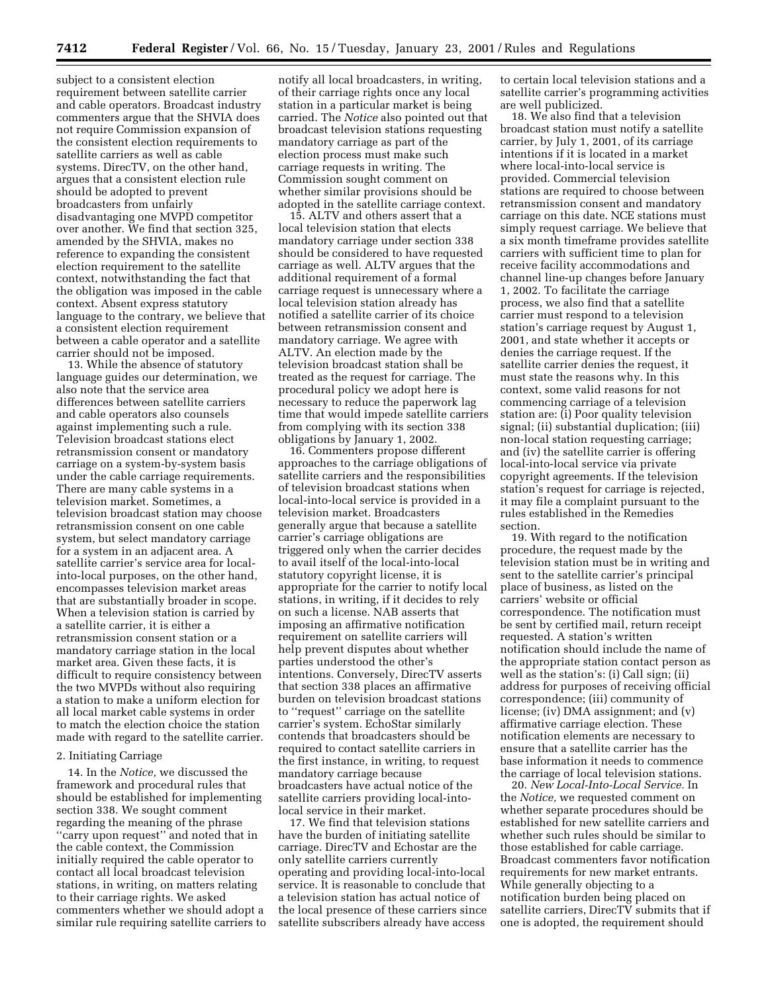subject to a consistent election requirement between satellite carrier and cable operators. Broadcast industry commenters argue that the SHVIA does not require Commission expansion of the consistent election requirements to satellite carriers as well as cable systems. DirecTV, on the other hand, argues that a consistent election rule should be adopted to prevent broadcasters from unfairly disadvantaging one MVPD competitor over another. We find that section 325, amended by the SHVIA, makes no reference to expanding the consistent election requirement to the satellite context, notwithstanding the fact that the obligation was imposed in the cable context. Absent express statutory language to the contrary, we believe that a consistent election requirement between a cable operator and a satellite carrier should not be imposed.

13. While the absence of statutory language guides our determination, we also note that the service area differences between satellite carriers and cable operators also counsels against implementing such a rule. Television broadcast stations elect retransmission consent or mandatory carriage on a system-by-system basis under the cable carriage requirements. There are many cable systems in a television market. Sometimes, a television broadcast station may choose retransmission consent on one cable system, but select mandatory carriage for a system in an adjacent area. A satellite carrier's service area for localinto-local purposes, on the other hand, encompasses television market areas that are substantially broader in scope. When a television station is carried by a satellite carrier, it is either a retransmission consent station or a mandatory carriage station in the local market area. Given these facts, it is difficult to require consistency between the two MVPDs without also requiring a station to make a uniform election for all local market cable systems in order to match the election choice the station made with regard to the satellite carrier.

### 2. Initiating Carriage

14. In the *Notice,* we discussed the framework and procedural rules that should be established for implementing section 338. We sought comment regarding the meaning of the phrase ''carry upon request'' and noted that in the cable context, the Commission initially required the cable operator to contact all local broadcast television stations, in writing, on matters relating to their carriage rights. We asked commenters whether we should adopt a similar rule requiring satellite carriers to

notify all local broadcasters, in writing, of their carriage rights once any local station in a particular market is being carried. The *Notice* also pointed out that broadcast television stations requesting mandatory carriage as part of the election process must make such carriage requests in writing. The Commission sought comment on whether similar provisions should be adopted in the satellite carriage context.

15. ALTV and others assert that a local television station that elects mandatory carriage under section 338 should be considered to have requested carriage as well. ALTV argues that the additional requirement of a formal carriage request is unnecessary where a local television station already has notified a satellite carrier of its choice between retransmission consent and mandatory carriage. We agree with ALTV. An election made by the television broadcast station shall be treated as the request for carriage. The procedural policy we adopt here is necessary to reduce the paperwork lag time that would impede satellite carriers from complying with its section 338 obligations by January 1, 2002.

16. Commenters propose different approaches to the carriage obligations of satellite carriers and the responsibilities of television broadcast stations when local-into-local service is provided in a television market. Broadcasters generally argue that because a satellite carrier's carriage obligations are triggered only when the carrier decides to avail itself of the local-into-local statutory copyright license, it is appropriate for the carrier to notify local stations, in writing, if it decides to rely on such a license. NAB asserts that imposing an affirmative notification requirement on satellite carriers will help prevent disputes about whether parties understood the other's intentions. Conversely, DirecTV asserts that section 338 places an affirmative burden on television broadcast stations to ''request'' carriage on the satellite carrier's system. EchoStar similarly contends that broadcasters should be required to contact satellite carriers in the first instance, in writing, to request mandatory carriage because broadcasters have actual notice of the satellite carriers providing local-intolocal service in their market.

17. We find that television stations have the burden of initiating satellite carriage. DirecTV and Echostar are the only satellite carriers currently operating and providing local-into-local service. It is reasonable to conclude that a television station has actual notice of the local presence of these carriers since satellite subscribers already have access

to certain local television stations and a satellite carrier's programming activities are well publicized.

18. We also find that a television broadcast station must notify a satellite carrier, by July 1, 2001, of its carriage intentions if it is located in a market where local-into-local service is provided. Commercial television stations are required to choose between retransmission consent and mandatory carriage on this date. NCE stations must simply request carriage. We believe that a six month timeframe provides satellite carriers with sufficient time to plan for receive facility accommodations and channel line-up changes before January 1, 2002. To facilitate the carriage process, we also find that a satellite carrier must respond to a television station's carriage request by August 1, 2001, and state whether it accepts or denies the carriage request. If the satellite carrier denies the request, it must state the reasons why. In this context, some valid reasons for not commencing carriage of a television station are: (i) Poor quality television signal; (ii) substantial duplication; (iii) non-local station requesting carriage; and (iv) the satellite carrier is offering local-into-local service via private copyright agreements. If the television station's request for carriage is rejected, it may file a complaint pursuant to the rules established in the Remedies section.

19. With regard to the notification procedure, the request made by the television station must be in writing and sent to the satellite carrier's principal place of business, as listed on the carriers' website or official correspondence. The notification must be sent by certified mail, return receipt requested. A station's written notification should include the name of the appropriate station contact person as well as the station's: (i) Call sign; (ii) address for purposes of receiving official correspondence; (iii) community of license; (iv) DMA assignment; and (v) affirmative carriage election. These notification elements are necessary to ensure that a satellite carrier has the base information it needs to commence the carriage of local television stations.

20. *New Local-Into-Local Service.* In the *Notice,* we requested comment on whether separate procedures should be established for new satellite carriers and whether such rules should be similar to those established for cable carriage. Broadcast commenters favor notification requirements for new market entrants. While generally objecting to a notification burden being placed on satellite carriers, DirecTV submits that if one is adopted, the requirement should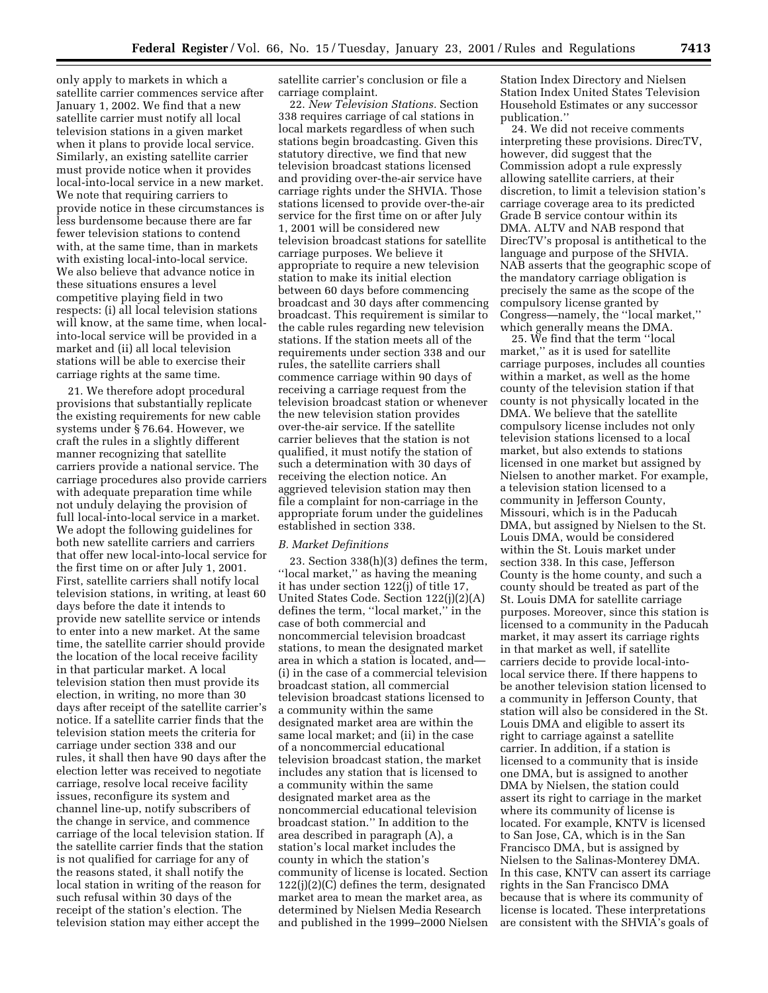only apply to markets in which a satellite carrier commences service after January 1, 2002. We find that a new satellite carrier must notify all local television stations in a given market when it plans to provide local service. Similarly, an existing satellite carrier must provide notice when it provides local-into-local service in a new market. We note that requiring carriers to provide notice in these circumstances is less burdensome because there are far fewer television stations to contend with, at the same time, than in markets with existing local-into-local service. We also believe that advance notice in these situations ensures a level competitive playing field in two respects: (i) all local television stations will know, at the same time, when localinto-local service will be provided in a market and (ii) all local television stations will be able to exercise their carriage rights at the same time.

21. We therefore adopt procedural provisions that substantially replicate the existing requirements for new cable systems under § 76.64. However, we craft the rules in a slightly different manner recognizing that satellite carriers provide a national service. The carriage procedures also provide carriers with adequate preparation time while not unduly delaying the provision of full local-into-local service in a market. We adopt the following guidelines for both new satellite carriers and carriers that offer new local-into-local service for the first time on or after July 1, 2001. First, satellite carriers shall notify local television stations, in writing, at least 60 days before the date it intends to provide new satellite service or intends to enter into a new market. At the same time, the satellite carrier should provide the location of the local receive facility in that particular market. A local television station then must provide its election, in writing, no more than 30 days after receipt of the satellite carrier's notice. If a satellite carrier finds that the television station meets the criteria for carriage under section 338 and our rules, it shall then have 90 days after the election letter was received to negotiate carriage, resolve local receive facility issues, reconfigure its system and channel line-up, notify subscribers of the change in service, and commence carriage of the local television station. If the satellite carrier finds that the station is not qualified for carriage for any of the reasons stated, it shall notify the local station in writing of the reason for such refusal within 30 days of the receipt of the station's election. The television station may either accept the

satellite carrier's conclusion or file a carriage complaint.

22. *New Television Stations.* Section 338 requires carriage of cal stations in local markets regardless of when such stations begin broadcasting. Given this statutory directive, we find that new television broadcast stations licensed and providing over-the-air service have carriage rights under the SHVIA. Those stations licensed to provide over-the-air service for the first time on or after July 1, 2001 will be considered new television broadcast stations for satellite carriage purposes. We believe it appropriate to require a new television station to make its initial election between 60 days before commencing broadcast and 30 days after commencing broadcast. This requirement is similar to the cable rules regarding new television stations. If the station meets all of the requirements under section 338 and our rules, the satellite carriers shall commence carriage within 90 days of receiving a carriage request from the television broadcast station or whenever the new television station provides over-the-air service. If the satellite carrier believes that the station is not qualified, it must notify the station of such a determination with 30 days of receiving the election notice. An aggrieved television station may then file a complaint for non-carriage in the appropriate forum under the guidelines established in section 338.

#### *B. Market Definitions*

23. Section 338(h)(3) defines the term, ''local market,'' as having the meaning it has under section 122(j) of title 17, United States Code. Section 122(j)(2)(A) defines the term, ''local market,'' in the case of both commercial and noncommercial television broadcast stations, to mean the designated market area in which a station is located, and— (i) in the case of a commercial television broadcast station, all commercial television broadcast stations licensed to a community within the same designated market area are within the same local market; and (ii) in the case of a noncommercial educational television broadcast station, the market includes any station that is licensed to a community within the same designated market area as the noncommercial educational television broadcast station.'' In addition to the area described in paragraph (A), a station's local market includes the county in which the station's community of license is located. Section 122(j)(2)(C) defines the term, designated market area to mean the market area, as determined by Nielsen Media Research and published in the 1999–2000 Nielsen Station Index Directory and Nielsen Station Index United States Television Household Estimates or any successor publication.''

24. We did not receive comments interpreting these provisions. DirecTV, however, did suggest that the Commission adopt a rule expressly allowing satellite carriers, at their discretion, to limit a television station's carriage coverage area to its predicted Grade B service contour within its DMA. ALTV and NAB respond that DirecTV's proposal is antithetical to the language and purpose of the SHVIA. NAB asserts that the geographic scope of the mandatory carriage obligation is precisely the same as the scope of the compulsory license granted by Congress—namely, the ''local market,'' which generally means the DMA.

25. We find that the term ''local market,'' as it is used for satellite carriage purposes, includes all counties within a market, as well as the home county of the television station if that county is not physically located in the DMA. We believe that the satellite compulsory license includes not only television stations licensed to a local market, but also extends to stations licensed in one market but assigned by Nielsen to another market. For example, a television station licensed to a community in Jefferson County, Missouri, which is in the Paducah DMA, but assigned by Nielsen to the St. Louis DMA, would be considered within the St. Louis market under section 338. In this case, Jefferson County is the home county, and such a county should be treated as part of the St. Louis DMA for satellite carriage purposes. Moreover, since this station is licensed to a community in the Paducah market, it may assert its carriage rights in that market as well, if satellite carriers decide to provide local-intolocal service there. If there happens to be another television station licensed to a community in Jefferson County, that station will also be considered in the St. Louis DMA and eligible to assert its right to carriage against a satellite carrier. In addition, if a station is licensed to a community that is inside one DMA, but is assigned to another DMA by Nielsen, the station could assert its right to carriage in the market where its community of license is located. For example, KNTV is licensed to San Jose, CA, which is in the San Francisco DMA, but is assigned by Nielsen to the Salinas-Monterey DMA. In this case, KNTV can assert its carriage rights in the San Francisco DMA because that is where its community of license is located. These interpretations are consistent with the SHVIA's goals of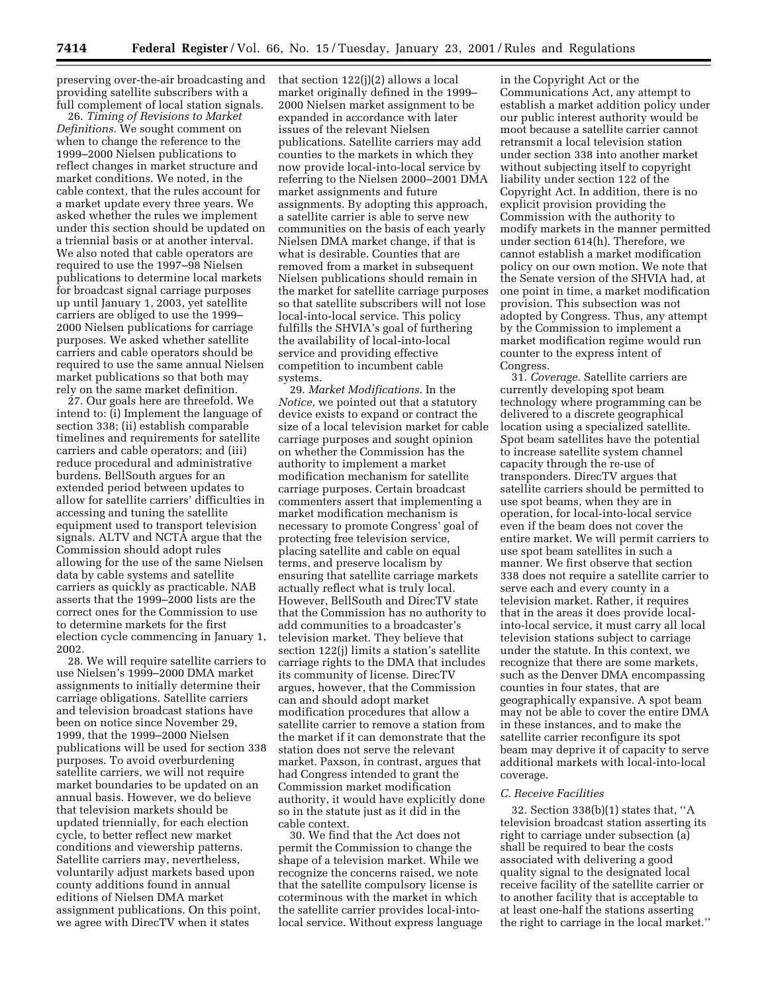preserving over-the-air broadcasting and providing satellite subscribers with a full complement of local station signals.

26. *Timing of Revisions to Market Definitions.* We sought comment on when to change the reference to the 1999–2000 Nielsen publications to reflect changes in market structure and market conditions. We noted, in the cable context, that the rules account for a market update every three years. We asked whether the rules we implement under this section should be updated on a triennial basis or at another interval. We also noted that cable operators are required to use the 1997–98 Nielsen publications to determine local markets for broadcast signal carriage purposes up until January 1, 2003, yet satellite carriers are obliged to use the 1999– 2000 Nielsen publications for carriage purposes. We asked whether satellite carriers and cable operators should be required to use the same annual Nielsen market publications so that both may rely on the same market definition.

27. Our goals here are threefold. We intend to: (i) Implement the language of section 338; (ii) establish comparable timelines and requirements for satellite carriers and cable operators; and (iii) reduce procedural and administrative burdens. BellSouth argues for an extended period between updates to allow for satellite carriers' difficulties in accessing and tuning the satellite equipment used to transport television signals. ALTV and NCTA argue that the Commission should adopt rules allowing for the use of the same Nielsen data by cable systems and satellite carriers as quickly as practicable. NAB asserts that the 1999–2000 lists are the correct ones for the Commission to use to determine markets for the first election cycle commencing in January 1, 2002.

28. We will require satellite carriers to use Nielsen's 1999–2000 DMA market assignments to initially determine their carriage obligations. Satellite carriers and television broadcast stations have been on notice since November 29, 1999, that the 1999–2000 Nielsen publications will be used for section 338 purposes. To avoid overburdening satellite carriers, we will not require market boundaries to be updated on an annual basis. However, we do believe that television markets should be updated triennially, for each election cycle, to better reflect new market conditions and viewership patterns. Satellite carriers may, nevertheless, voluntarily adjust markets based upon county additions found in annual editions of Nielsen DMA market assignment publications. On this point, we agree with DirecTV when it states

that section 122(j)(2) allows a local market originally defined in the 1999– 2000 Nielsen market assignment to be expanded in accordance with later issues of the relevant Nielsen publications. Satellite carriers may add counties to the markets in which they now provide local-into-local service by referring to the Nielsen 2000–2001 DMA market assignments and future assignments. By adopting this approach, a satellite carrier is able to serve new communities on the basis of each yearly Nielsen DMA market change, if that is what is desirable. Counties that are removed from a market in subsequent Nielsen publications should remain in the market for satellite carriage purposes so that satellite subscribers will not lose local-into-local service. This policy fulfills the SHVIA's goal of furthering the availability of local-into-local service and providing effective competition to incumbent cable systems.

29. *Market Modifications.* In the *Notice,* we pointed out that a statutory device exists to expand or contract the size of a local television market for cable carriage purposes and sought opinion on whether the Commission has the authority to implement a market modification mechanism for satellite carriage purposes. Certain broadcast commenters assert that implementing a market modification mechanism is necessary to promote Congress' goal of protecting free television service, placing satellite and cable on equal terms, and preserve localism by ensuring that satellite carriage markets actually reflect what is truly local. However, BellSouth and DirecTV state that the Commission has no authority to add communities to a broadcaster's television market. They believe that section 122(j) limits a station's satellite carriage rights to the DMA that includes its community of license. DirecTV argues, however, that the Commission can and should adopt market modification procedures that allow a satellite carrier to remove a station from the market if it can demonstrate that the station does not serve the relevant market. Paxson, in contrast, argues that had Congress intended to grant the Commission market modification authority, it would have explicitly done so in the statute just as it did in the cable context.

30. We find that the Act does not permit the Commission to change the shape of a television market. While we recognize the concerns raised, we note that the satellite compulsory license is coterminous with the market in which the satellite carrier provides local-intolocal service. Without express language

in the Copyright Act or the Communications Act, any attempt to establish a market addition policy under our public interest authority would be moot because a satellite carrier cannot retransmit a local television station under section 338 into another market without subjecting itself to copyright liability under section 122 of the Copyright Act. In addition, there is no explicit provision providing the Commission with the authority to modify markets in the manner permitted under section 614(h). Therefore, we cannot establish a market modification policy on our own motion. We note that the Senate version of the SHVIA had, at one point in time, a market modification provision. This subsection was not adopted by Congress. Thus, any attempt by the Commission to implement a market modification regime would run counter to the express intent of Congress.

31. *Coverage.* Satellite carriers are currently developing spot beam technology where programming can be delivered to a discrete geographical location using a specialized satellite. Spot beam satellites have the potential to increase satellite system channel capacity through the re-use of transponders. DirecTV argues that satellite carriers should be permitted to use spot beams, when they are in operation, for local-into-local service even if the beam does not cover the entire market. We will permit carriers to use spot beam satellites in such a manner. We first observe that section 338 does not require a satellite carrier to serve each and every county in a television market. Rather, it requires that in the areas it does provide localinto-local service, it must carry all local television stations subject to carriage under the statute. In this context, we recognize that there are some markets, such as the Denver DMA encompassing counties in four states, that are geographically expansive. A spot beam may not be able to cover the entire DMA in these instances, and to make the satellite carrier reconfigure its spot beam may deprive it of capacity to serve additional markets with local-into-local coverage.

#### *C. Receive Facilities*

32. Section 338(b)(1) states that, ''A television broadcast station asserting its right to carriage under subsection (a) shall be required to bear the costs associated with delivering a good quality signal to the designated local receive facility of the satellite carrier or to another facility that is acceptable to at least one-half the stations asserting the right to carriage in the local market.''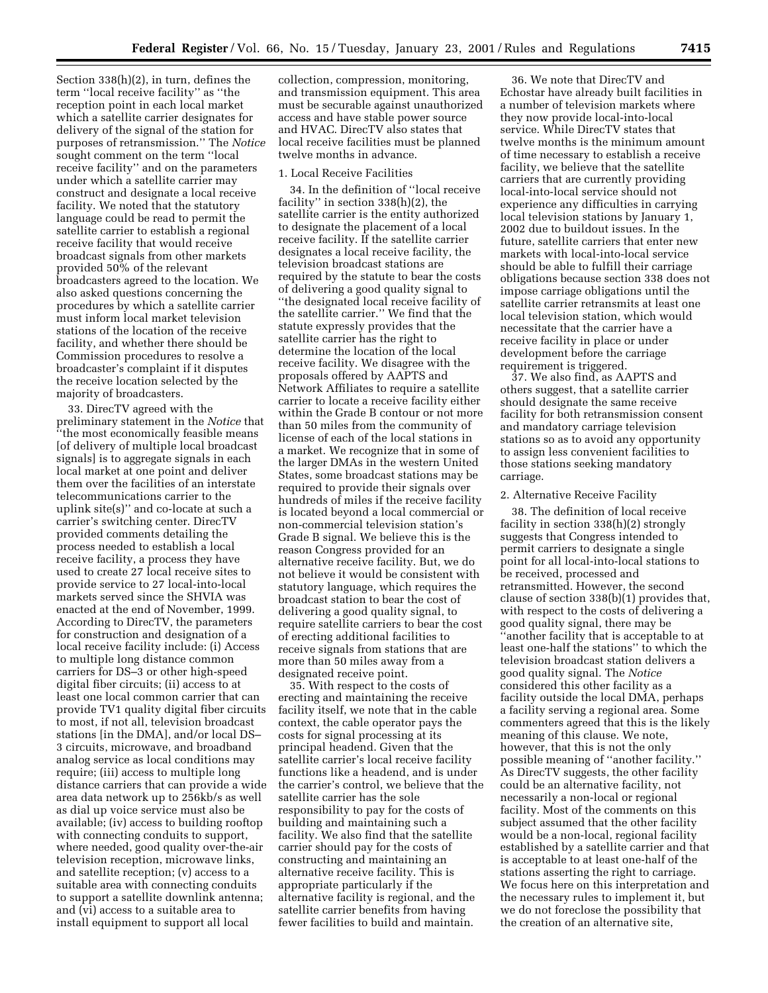Section 338(h)(2), in turn, defines the term ''local receive facility'' as ''the reception point in each local market which a satellite carrier designates for delivery of the signal of the station for purposes of retransmission.'' The *Notice* sought comment on the term ''local receive facility'' and on the parameters under which a satellite carrier may construct and designate a local receive facility. We noted that the statutory language could be read to permit the satellite carrier to establish a regional receive facility that would receive broadcast signals from other markets provided 50% of the relevant broadcasters agreed to the location. We also asked questions concerning the procedures by which a satellite carrier must inform local market television stations of the location of the receive facility, and whether there should be Commission procedures to resolve a broadcaster's complaint if it disputes the receive location selected by the majority of broadcasters.

33. DirecTV agreed with the preliminary statement in the *Notice* that ''the most economically feasible means [of delivery of multiple local broadcast signals] is to aggregate signals in each local market at one point and deliver them over the facilities of an interstate telecommunications carrier to the uplink site(s)'' and co-locate at such a carrier's switching center. DirecTV provided comments detailing the process needed to establish a local receive facility, a process they have used to create 27 local receive sites to provide service to 27 local-into-local markets served since the SHVIA was enacted at the end of November, 1999. According to DirecTV, the parameters for construction and designation of a local receive facility include: (i) Access to multiple long distance common carriers for DS–3 or other high-speed digital fiber circuits; (ii) access to at least one local common carrier that can provide TV1 quality digital fiber circuits to most, if not all, television broadcast stations [in the DMA], and/or local DS– 3 circuits, microwave, and broadband analog service as local conditions may require; (iii) access to multiple long distance carriers that can provide a wide area data network up to 256kb/s as well as dial up voice service must also be available; (iv) access to building rooftop with connecting conduits to support, where needed, good quality over-the-air television reception, microwave links, and satellite reception; (v) access to a suitable area with connecting conduits to support a satellite downlink antenna; and (vi) access to a suitable area to install equipment to support all local

collection, compression, monitoring, and transmission equipment. This area must be securable against unauthorized access and have stable power source and HVAC. DirecTV also states that local receive facilities must be planned twelve months in advance.

## 1. Local Receive Facilities

34. In the definition of ''local receive facility'' in section 338(h)(2), the satellite carrier is the entity authorized to designate the placement of a local receive facility. If the satellite carrier designates a local receive facility, the television broadcast stations are required by the statute to bear the costs of delivering a good quality signal to ''the designated local receive facility of the satellite carrier.'' We find that the statute expressly provides that the satellite carrier has the right to determine the location of the local receive facility. We disagree with the proposals offered by AAPTS and Network Affiliates to require a satellite carrier to locate a receive facility either within the Grade B contour or not more than 50 miles from the community of license of each of the local stations in a market. We recognize that in some of the larger DMAs in the western United States, some broadcast stations may be required to provide their signals over hundreds of miles if the receive facility is located beyond a local commercial or non-commercial television station's Grade B signal. We believe this is the reason Congress provided for an alternative receive facility. But, we do not believe it would be consistent with statutory language, which requires the broadcast station to bear the cost of delivering a good quality signal, to require satellite carriers to bear the cost of erecting additional facilities to receive signals from stations that are more than 50 miles away from a designated receive point.

35. With respect to the costs of erecting and maintaining the receive facility itself, we note that in the cable context, the cable operator pays the costs for signal processing at its principal headend. Given that the satellite carrier's local receive facility functions like a headend, and is under the carrier's control, we believe that the satellite carrier has the sole responsibility to pay for the costs of building and maintaining such a facility. We also find that the satellite carrier should pay for the costs of constructing and maintaining an alternative receive facility. This is appropriate particularly if the alternative facility is regional, and the satellite carrier benefits from having fewer facilities to build and maintain.

36. We note that DirecTV and Echostar have already built facilities in a number of television markets where they now provide local-into-local service. While DirecTV states that twelve months is the minimum amount of time necessary to establish a receive facility, we believe that the satellite carriers that are currently providing local-into-local service should not experience any difficulties in carrying local television stations by January 1, 2002 due to buildout issues. In the future, satellite carriers that enter new markets with local-into-local service should be able to fulfill their carriage obligations because section 338 does not impose carriage obligations until the satellite carrier retransmits at least one local television station, which would necessitate that the carrier have a receive facility in place or under development before the carriage requirement is triggered.

37. We also find, as AAPTS and others suggest, that a satellite carrier should designate the same receive facility for both retransmission consent and mandatory carriage television stations so as to avoid any opportunity to assign less convenient facilities to those stations seeking mandatory carriage.

### 2. Alternative Receive Facility

38. The definition of local receive facility in section 338(h)(2) strongly suggests that Congress intended to permit carriers to designate a single point for all local-into-local stations to be received, processed and retransmitted. However, the second clause of section 338(b)(1) provides that, with respect to the costs of delivering a good quality signal, there may be 'another facility that is acceptable to at least one-half the stations'' to which the television broadcast station delivers a good quality signal. The *Notice* considered this other facility as a facility outside the local DMA, perhaps a facility serving a regional area. Some commenters agreed that this is the likely meaning of this clause. We note, however, that this is not the only possible meaning of ''another facility.'' As DirecTV suggests, the other facility could be an alternative facility, not necessarily a non-local or regional facility. Most of the comments on this subject assumed that the other facility would be a non-local, regional facility established by a satellite carrier and that is acceptable to at least one-half of the stations asserting the right to carriage. We focus here on this interpretation and the necessary rules to implement it, but we do not foreclose the possibility that the creation of an alternative site,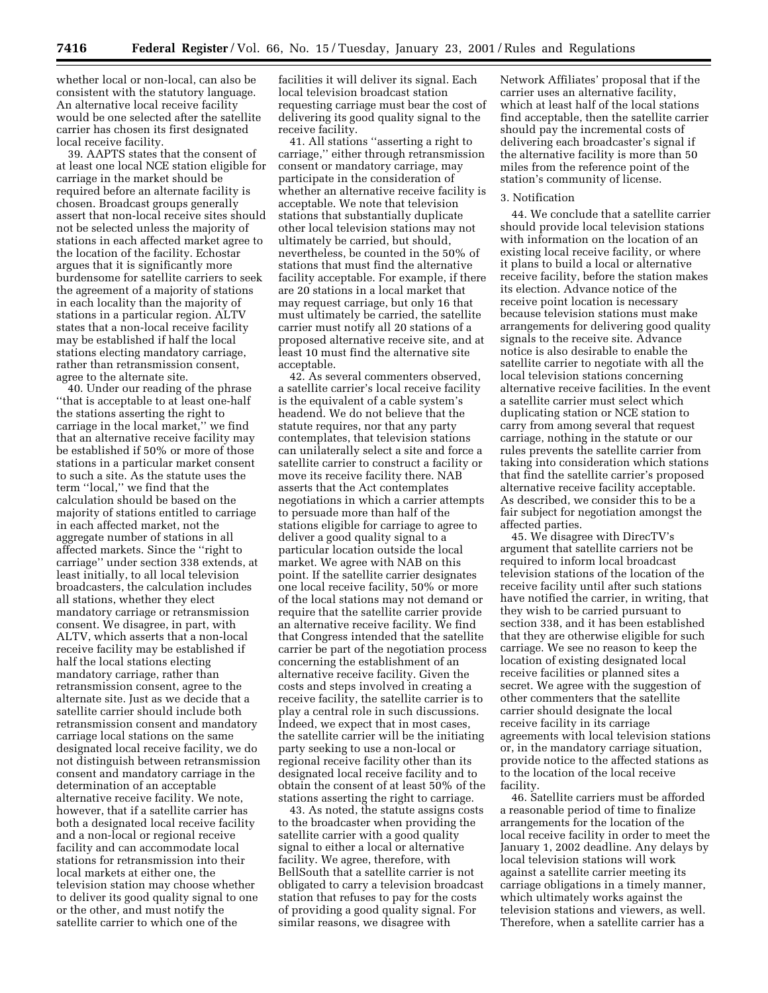whether local or non-local, can also be consistent with the statutory language. An alternative local receive facility would be one selected after the satellite carrier has chosen its first designated local receive facility.

39. AAPTS states that the consent of at least one local NCE station eligible for carriage in the market should be required before an alternate facility is chosen. Broadcast groups generally assert that non-local receive sites should not be selected unless the majority of stations in each affected market agree to the location of the facility. Echostar argues that it is significantly more burdensome for satellite carriers to seek the agreement of a majority of stations in each locality than the majority of stations in a particular region. ALTV states that a non-local receive facility may be established if half the local stations electing mandatory carriage, rather than retransmission consent, agree to the alternate site.

40. Under our reading of the phrase ''that is acceptable to at least one-half the stations asserting the right to carriage in the local market,'' we find that an alternative receive facility may be established if 50% or more of those stations in a particular market consent to such a site. As the statute uses the term ''local,'' we find that the calculation should be based on the majority of stations entitled to carriage in each affected market, not the aggregate number of stations in all affected markets. Since the ''right to carriage'' under section 338 extends, at least initially, to all local television broadcasters, the calculation includes all stations, whether they elect mandatory carriage or retransmission consent. We disagree, in part, with ALTV, which asserts that a non-local receive facility may be established if half the local stations electing mandatory carriage, rather than retransmission consent, agree to the alternate site. Just as we decide that a satellite carrier should include both retransmission consent and mandatory carriage local stations on the same designated local receive facility, we do not distinguish between retransmission consent and mandatory carriage in the determination of an acceptable alternative receive facility. We note, however, that if a satellite carrier has both a designated local receive facility and a non-local or regional receive facility and can accommodate local stations for retransmission into their local markets at either one, the television station may choose whether to deliver its good quality signal to one or the other, and must notify the satellite carrier to which one of the

facilities it will deliver its signal. Each local television broadcast station requesting carriage must bear the cost of delivering its good quality signal to the receive facility.

41. All stations ''asserting a right to carriage,'' either through retransmission consent or mandatory carriage, may participate in the consideration of whether an alternative receive facility is acceptable. We note that television stations that substantially duplicate other local television stations may not ultimately be carried, but should, nevertheless, be counted in the 50% of stations that must find the alternative facility acceptable. For example, if there are 20 stations in a local market that may request carriage, but only 16 that must ultimately be carried, the satellite carrier must notify all 20 stations of a proposed alternative receive site, and at least 10 must find the alternative site acceptable.

42. As several commenters observed, a satellite carrier's local receive facility is the equivalent of a cable system's headend. We do not believe that the statute requires, nor that any party contemplates, that television stations can unilaterally select a site and force a satellite carrier to construct a facility or move its receive facility there. NAB asserts that the Act contemplates negotiations in which a carrier attempts to persuade more than half of the stations eligible for carriage to agree to deliver a good quality signal to a particular location outside the local market. We agree with NAB on this point. If the satellite carrier designates one local receive facility, 50% or more of the local stations may not demand or require that the satellite carrier provide an alternative receive facility. We find that Congress intended that the satellite carrier be part of the negotiation process concerning the establishment of an alternative receive facility. Given the costs and steps involved in creating a receive facility, the satellite carrier is to play a central role in such discussions. Indeed, we expect that in most cases, the satellite carrier will be the initiating party seeking to use a non-local or regional receive facility other than its designated local receive facility and to obtain the consent of at least 50% of the stations asserting the right to carriage.

43. As noted, the statute assigns costs to the broadcaster when providing the satellite carrier with a good quality signal to either a local or alternative facility. We agree, therefore, with BellSouth that a satellite carrier is not obligated to carry a television broadcast station that refuses to pay for the costs of providing a good quality signal. For similar reasons, we disagree with

Network Affiliates' proposal that if the carrier uses an alternative facility, which at least half of the local stations find acceptable, then the satellite carrier should pay the incremental costs of delivering each broadcaster's signal if the alternative facility is more than 50 miles from the reference point of the station's community of license.

## 3. Notification

44. We conclude that a satellite carrier should provide local television stations with information on the location of an existing local receive facility, or where it plans to build a local or alternative receive facility, before the station makes its election. Advance notice of the receive point location is necessary because television stations must make arrangements for delivering good quality signals to the receive site. Advance notice is also desirable to enable the satellite carrier to negotiate with all the local television stations concerning alternative receive facilities. In the event a satellite carrier must select which duplicating station or NCE station to carry from among several that request carriage, nothing in the statute or our rules prevents the satellite carrier from taking into consideration which stations that find the satellite carrier's proposed alternative receive facility acceptable. As described, we consider this to be a fair subject for negotiation amongst the affected parties.

45. We disagree with DirecTV's argument that satellite carriers not be required to inform local broadcast television stations of the location of the receive facility until after such stations have notified the carrier, in writing, that they wish to be carried pursuant to section 338, and it has been established that they are otherwise eligible for such carriage. We see no reason to keep the location of existing designated local receive facilities or planned sites a secret. We agree with the suggestion of other commenters that the satellite carrier should designate the local receive facility in its carriage agreements with local television stations or, in the mandatory carriage situation, provide notice to the affected stations as to the location of the local receive facility.

46. Satellite carriers must be afforded a reasonable period of time to finalize arrangements for the location of the local receive facility in order to meet the January 1, 2002 deadline. Any delays by local television stations will work against a satellite carrier meeting its carriage obligations in a timely manner, which ultimately works against the television stations and viewers, as well. Therefore, when a satellite carrier has a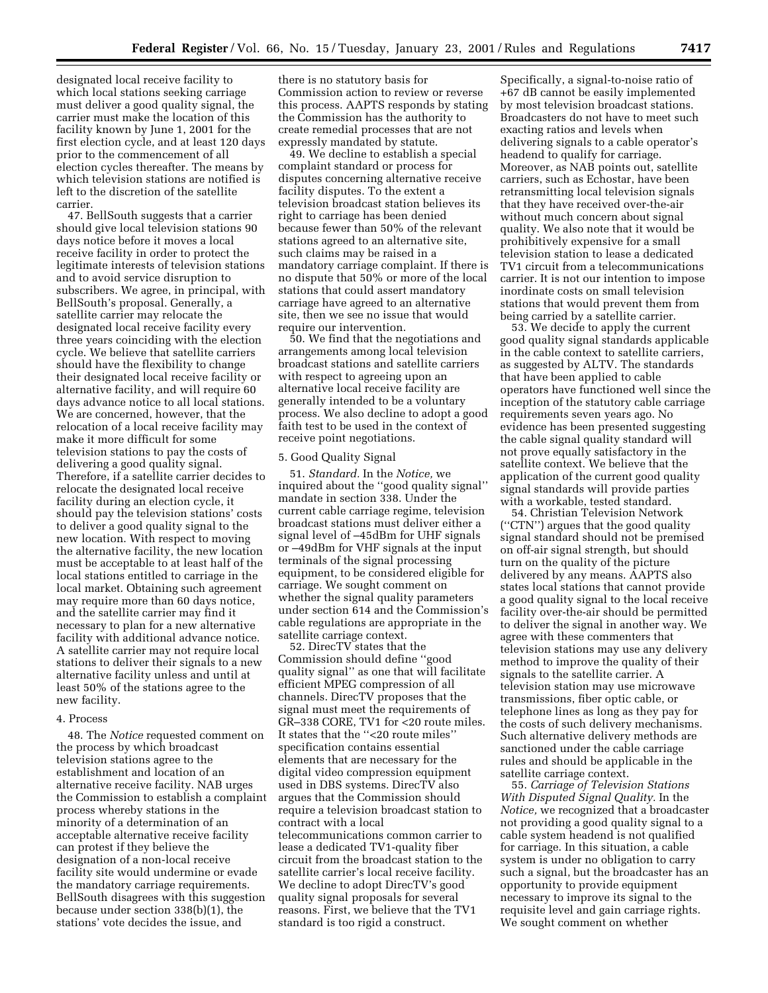designated local receive facility to which local stations seeking carriage must deliver a good quality signal, the carrier must make the location of this facility known by June 1, 2001 for the first election cycle, and at least 120 days prior to the commencement of all election cycles thereafter. The means by which television stations are notified is left to the discretion of the satellite carrier.

47. BellSouth suggests that a carrier should give local television stations 90 days notice before it moves a local receive facility in order to protect the legitimate interests of television stations and to avoid service disruption to subscribers. We agree, in principal, with BellSouth's proposal. Generally, a satellite carrier may relocate the designated local receive facility every three years coinciding with the election cycle. We believe that satellite carriers should have the flexibility to change their designated local receive facility or alternative facility, and will require 60 days advance notice to all local stations. We are concerned, however, that the relocation of a local receive facility may make it more difficult for some television stations to pay the costs of delivering a good quality signal. Therefore, if a satellite carrier decides to relocate the designated local receive facility during an election cycle, it should pay the television stations' costs to deliver a good quality signal to the new location. With respect to moving the alternative facility, the new location must be acceptable to at least half of the local stations entitled to carriage in the local market. Obtaining such agreement may require more than 60 days notice, and the satellite carrier may find it necessary to plan for a new alternative facility with additional advance notice. A satellite carrier may not require local stations to deliver their signals to a new alternative facility unless and until at least 50% of the stations agree to the new facility.

## 4. Process

48. The *Notice* requested comment on the process by which broadcast television stations agree to the establishment and location of an alternative receive facility. NAB urges the Commission to establish a complaint process whereby stations in the minority of a determination of an acceptable alternative receive facility can protest if they believe the designation of a non-local receive facility site would undermine or evade the mandatory carriage requirements. BellSouth disagrees with this suggestion because under section 338(b)(1), the stations' vote decides the issue, and

there is no statutory basis for Commission action to review or reverse this process. AAPTS responds by stating the Commission has the authority to create remedial processes that are not expressly mandated by statute.

49. We decline to establish a special complaint standard or process for disputes concerning alternative receive facility disputes. To the extent a television broadcast station believes its right to carriage has been denied because fewer than 50% of the relevant stations agreed to an alternative site, such claims may be raised in a mandatory carriage complaint. If there is no dispute that 50% or more of the local stations that could assert mandatory carriage have agreed to an alternative site, then we see no issue that would require our intervention.

50. We find that the negotiations and arrangements among local television broadcast stations and satellite carriers with respect to agreeing upon an alternative local receive facility are generally intended to be a voluntary process. We also decline to adopt a good faith test to be used in the context of receive point negotiations.

## 5. Good Quality Signal

51. *Standard.* In the *Notice,* we inquired about the ''good quality signal'' mandate in section 338. Under the current cable carriage regime, television broadcast stations must deliver either a signal level of –45dBm for UHF signals or –49dBm for VHF signals at the input terminals of the signal processing equipment, to be considered eligible for carriage. We sought comment on whether the signal quality parameters under section 614 and the Commission's cable regulations are appropriate in the satellite carriage context.

52. DirecTV states that the Commission should define ''good quality signal'' as one that will facilitate efficient MPEG compression of all channels. DirecTV proposes that the signal must meet the requirements of GR–338 CORE, TV1 for <20 route miles. It states that the ''<20 route miles'' specification contains essential elements that are necessary for the digital video compression equipment used in DBS systems. DirecTV also argues that the Commission should require a television broadcast station to contract with a local telecommunications common carrier to lease a dedicated TV1-quality fiber circuit from the broadcast station to the satellite carrier's local receive facility. We decline to adopt DirecTV's good quality signal proposals for several reasons. First, we believe that the TV1 standard is too rigid a construct.

Specifically, a signal-to-noise ratio of +67 dB cannot be easily implemented by most television broadcast stations. Broadcasters do not have to meet such exacting ratios and levels when delivering signals to a cable operator's headend to qualify for carriage. Moreover, as NAB points out, satellite carriers, such as Echostar, have been retransmitting local television signals that they have received over-the-air without much concern about signal quality. We also note that it would be prohibitively expensive for a small television station to lease a dedicated TV1 circuit from a telecommunications carrier. It is not our intention to impose inordinate costs on small television stations that would prevent them from being carried by a satellite carrier.

53. We decide to apply the current good quality signal standards applicable in the cable context to satellite carriers, as suggested by ALTV. The standards that have been applied to cable operators have functioned well since the inception of the statutory cable carriage requirements seven years ago. No evidence has been presented suggesting the cable signal quality standard will not prove equally satisfactory in the satellite context. We believe that the application of the current good quality signal standards will provide parties with a workable, tested standard.

54. Christian Television Network (''CTN'') argues that the good quality signal standard should not be premised on off-air signal strength, but should turn on the quality of the picture delivered by any means. AAPTS also states local stations that cannot provide a good quality signal to the local receive facility over-the-air should be permitted to deliver the signal in another way. We agree with these commenters that television stations may use any delivery method to improve the quality of their signals to the satellite carrier. A television station may use microwave transmissions, fiber optic cable, or telephone lines as long as they pay for the costs of such delivery mechanisms. Such alternative delivery methods are sanctioned under the cable carriage rules and should be applicable in the satellite carriage context.

55. *Carriage of Television Stations With Disputed Signal Quality.* In the *Notice,* we recognized that a broadcaster not providing a good quality signal to a cable system headend is not qualified for carriage. In this situation, a cable system is under no obligation to carry such a signal, but the broadcaster has an opportunity to provide equipment necessary to improve its signal to the requisite level and gain carriage rights. We sought comment on whether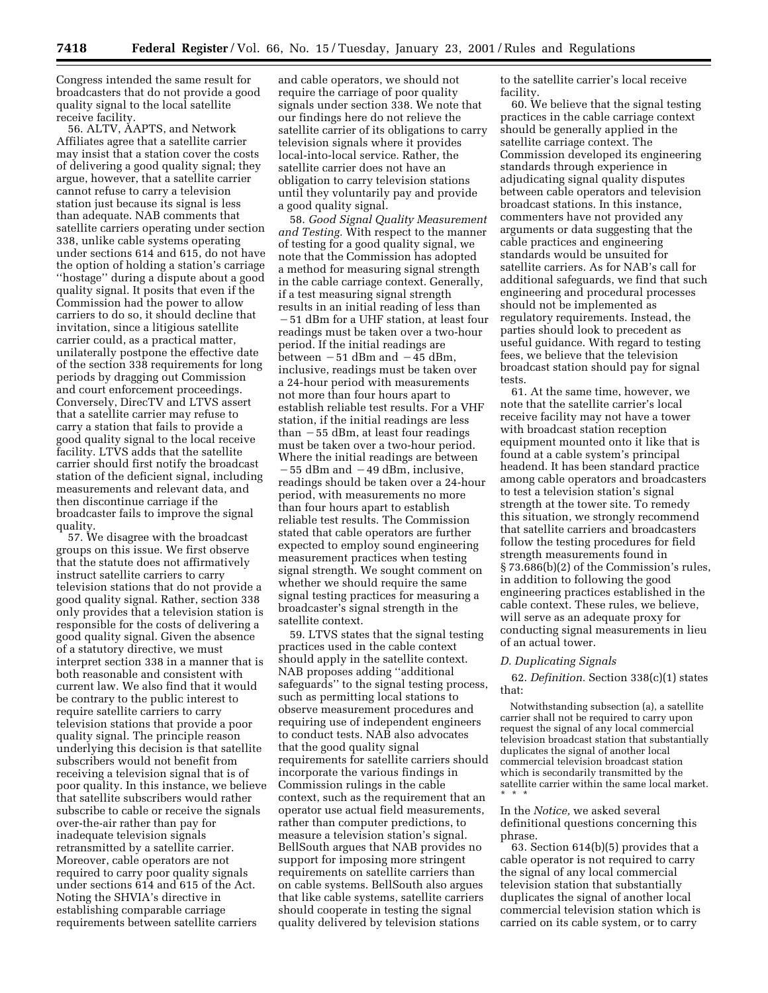Congress intended the same result for broadcasters that do not provide a good quality signal to the local satellite receive facility.

56. ALTV, AAPTS, and Network Affiliates agree that a satellite carrier may insist that a station cover the costs of delivering a good quality signal; they argue, however, that a satellite carrier cannot refuse to carry a television station just because its signal is less than adequate. NAB comments that satellite carriers operating under section 338, unlike cable systems operating under sections 614 and 615, do not have the option of holding a station's carriage ''hostage'' during a dispute about a good quality signal. It posits that even if the Commission had the power to allow carriers to do so, it should decline that invitation, since a litigious satellite carrier could, as a practical matter, unilaterally postpone the effective date of the section 338 requirements for long periods by dragging out Commission and court enforcement proceedings. Conversely, DirecTV and LTVS assert that a satellite carrier may refuse to carry a station that fails to provide a good quality signal to the local receive facility. LTVS adds that the satellite carrier should first notify the broadcast station of the deficient signal, including measurements and relevant data, and then discontinue carriage if the broadcaster fails to improve the signal quality.

57. We disagree with the broadcast groups on this issue. We first observe that the statute does not affirmatively instruct satellite carriers to carry television stations that do not provide a good quality signal. Rather, section 338 only provides that a television station is responsible for the costs of delivering a good quality signal. Given the absence of a statutory directive, we must interpret section 338 in a manner that is both reasonable and consistent with current law. We also find that it would be contrary to the public interest to require satellite carriers to carry television stations that provide a poor quality signal. The principle reason underlying this decision is that satellite subscribers would not benefit from receiving a television signal that is of poor quality. In this instance, we believe that satellite subscribers would rather subscribe to cable or receive the signals over-the-air rather than pay for inadequate television signals retransmitted by a satellite carrier. Moreover, cable operators are not required to carry poor quality signals under sections 614 and 615 of the Act. Noting the SHVIA's directive in establishing comparable carriage requirements between satellite carriers

and cable operators, we should not require the carriage of poor quality signals under section 338. We note that our findings here do not relieve the satellite carrier of its obligations to carry television signals where it provides local-into-local service. Rather, the satellite carrier does not have an obligation to carry television stations until they voluntarily pay and provide a good quality signal.

58. *Good Signal Quality Measurement and Testing.* With respect to the manner of testing for a good quality signal, we note that the Commission has adopted a method for measuring signal strength in the cable carriage context. Generally, if a test measuring signal strength results in an initial reading of less than

 $-51$  dBm for a UHF station, at least four readings must be taken over a two-hour period. If the initial readings are between  $-51$  dBm and  $-45$  dBm, inclusive, readings must be taken over a 24-hour period with measurements not more than four hours apart to establish reliable test results. For a VHF station, if the initial readings are less than  $-55$  dBm, at least four readings must be taken over a two-hour period. Where the initial readings are between  $-55$  dBm and  $-49$  dBm, inclusive, readings should be taken over a 24-hour period, with measurements no more than four hours apart to establish reliable test results. The Commission stated that cable operators are further expected to employ sound engineering measurement practices when testing signal strength. We sought comment on whether we should require the same signal testing practices for measuring a broadcaster's signal strength in the satellite context.

59. LTVS states that the signal testing practices used in the cable context should apply in the satellite context. NAB proposes adding ''additional safeguards'' to the signal testing process, such as permitting local stations to observe measurement procedures and requiring use of independent engineers to conduct tests. NAB also advocates that the good quality signal requirements for satellite carriers should incorporate the various findings in Commission rulings in the cable context, such as the requirement that an operator use actual field measurements, rather than computer predictions, to measure a television station's signal. BellSouth argues that NAB provides no support for imposing more stringent requirements on satellite carriers than on cable systems. BellSouth also argues that like cable systems, satellite carriers should cooperate in testing the signal quality delivered by television stations

to the satellite carrier's local receive facility.

60. We believe that the signal testing practices in the cable carriage context should be generally applied in the satellite carriage context. The Commission developed its engineering standards through experience in adjudicating signal quality disputes between cable operators and television broadcast stations. In this instance, commenters have not provided any arguments or data suggesting that the cable practices and engineering standards would be unsuited for satellite carriers. As for NAB's call for additional safeguards, we find that such engineering and procedural processes should not be implemented as regulatory requirements. Instead, the parties should look to precedent as useful guidance. With regard to testing fees, we believe that the television broadcast station should pay for signal tests.

61. At the same time, however, we note that the satellite carrier's local receive facility may not have a tower with broadcast station reception equipment mounted onto it like that is found at a cable system's principal headend. It has been standard practice among cable operators and broadcasters to test a television station's signal strength at the tower site. To remedy this situation, we strongly recommend that satellite carriers and broadcasters follow the testing procedures for field strength measurements found in § 73.686(b)(2) of the Commission's rules, in addition to following the good engineering practices established in the cable context. These rules, we believe, will serve as an adequate proxy for conducting signal measurements in lieu of an actual tower.

#### *D. Duplicating Signals*

62. *Definition.* Section 338(c)(1) states that:

Notwithstanding subsection (a), a satellite carrier shall not be required to carry upon request the signal of any local commercial television broadcast station that substantially duplicates the signal of another local commercial television broadcast station which is secondarily transmitted by the satellite carrier within the same local market. \*\*\*

In the *Notice,* we asked several definitional questions concerning this phrase.

63. Section 614(b)(5) provides that a cable operator is not required to carry the signal of any local commercial television station that substantially duplicates the signal of another local commercial television station which is carried on its cable system, or to carry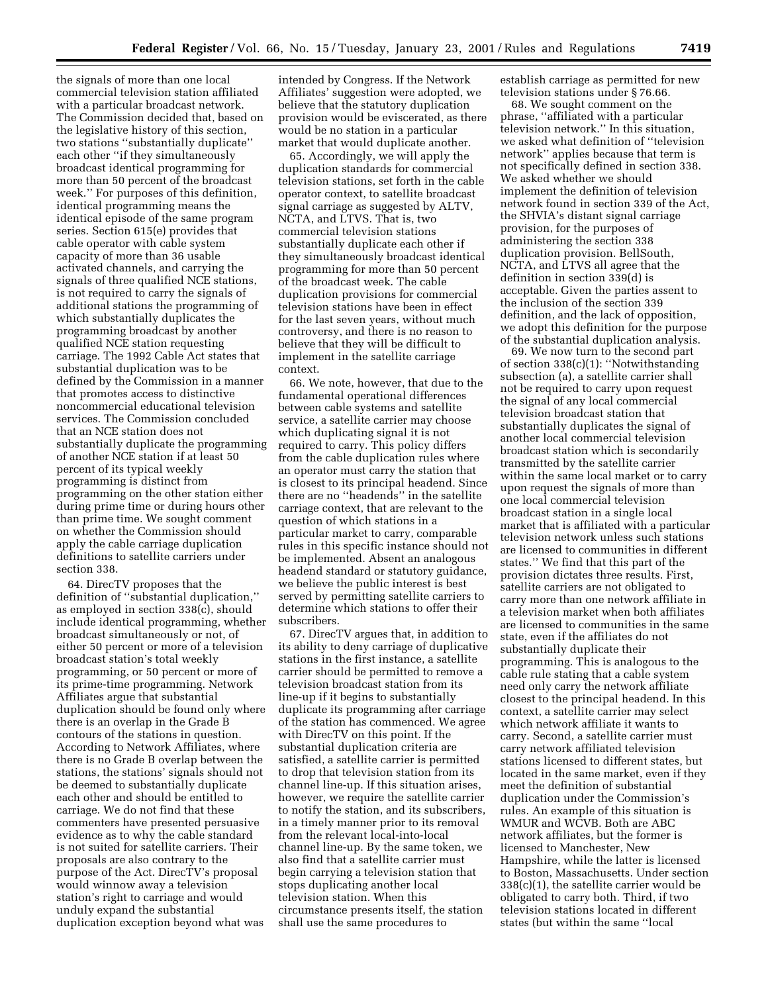the signals of more than one local commercial television station affiliated with a particular broadcast network. The Commission decided that, based on the legislative history of this section, two stations ''substantially duplicate'' each other ''if they simultaneously broadcast identical programming for more than 50 percent of the broadcast week.'' For purposes of this definition, identical programming means the identical episode of the same program series. Section 615(e) provides that cable operator with cable system capacity of more than 36 usable activated channels, and carrying the signals of three qualified NCE stations, is not required to carry the signals of additional stations the programming of which substantially duplicates the programming broadcast by another qualified NCE station requesting carriage. The 1992 Cable Act states that substantial duplication was to be defined by the Commission in a manner that promotes access to distinctive noncommercial educational television services. The Commission concluded that an NCE station does not substantially duplicate the programming of another NCE station if at least 50 percent of its typical weekly programming is distinct from programming on the other station either during prime time or during hours other than prime time. We sought comment on whether the Commission should apply the cable carriage duplication definitions to satellite carriers under section 338.

64. DirecTV proposes that the definition of ''substantial duplication,'' as employed in section 338(c), should include identical programming, whether broadcast simultaneously or not, of either 50 percent or more of a television broadcast station's total weekly programming, or 50 percent or more of its prime-time programming. Network Affiliates argue that substantial duplication should be found only where there is an overlap in the Grade B contours of the stations in question. According to Network Affiliates, where there is no Grade B overlap between the stations, the stations' signals should not be deemed to substantially duplicate each other and should be entitled to carriage. We do not find that these commenters have presented persuasive evidence as to why the cable standard is not suited for satellite carriers. Their proposals are also contrary to the purpose of the Act. DirecTV's proposal would winnow away a television station's right to carriage and would unduly expand the substantial duplication exception beyond what was

intended by Congress. If the Network Affiliates' suggestion were adopted, we believe that the statutory duplication provision would be eviscerated, as there would be no station in a particular market that would duplicate another.

65. Accordingly, we will apply the duplication standards for commercial television stations, set forth in the cable operator context, to satellite broadcast signal carriage as suggested by ALTV, NCTA, and LTVS. That is, two commercial television stations substantially duplicate each other if they simultaneously broadcast identical programming for more than 50 percent of the broadcast week. The cable duplication provisions for commercial television stations have been in effect for the last seven years, without much controversy, and there is no reason to believe that they will be difficult to implement in the satellite carriage context.

66. We note, however, that due to the fundamental operational differences between cable systems and satellite service, a satellite carrier may choose which duplicating signal it is not required to carry. This policy differs from the cable duplication rules where an operator must carry the station that is closest to its principal headend. Since there are no ''headends'' in the satellite carriage context, that are relevant to the question of which stations in a particular market to carry, comparable rules in this specific instance should not be implemented. Absent an analogous headend standard or statutory guidance, we believe the public interest is best served by permitting satellite carriers to determine which stations to offer their subscribers.

67. DirecTV argues that, in addition to its ability to deny carriage of duplicative stations in the first instance, a satellite carrier should be permitted to remove a television broadcast station from its line-up if it begins to substantially duplicate its programming after carriage of the station has commenced. We agree with DirecTV on this point. If the substantial duplication criteria are satisfied, a satellite carrier is permitted to drop that television station from its channel line-up. If this situation arises, however, we require the satellite carrier to notify the station, and its subscribers, in a timely manner prior to its removal from the relevant local-into-local channel line-up. By the same token, we also find that a satellite carrier must begin carrying a television station that stops duplicating another local television station. When this circumstance presents itself, the station shall use the same procedures to

establish carriage as permitted for new television stations under § 76.66.

68. We sought comment on the phrase, ''affiliated with a particular television network.'' In this situation, we asked what definition of ''television network'' applies because that term is not specifically defined in section 338. We asked whether we should implement the definition of television network found in section 339 of the Act, the SHVIA's distant signal carriage provision, for the purposes of administering the section 338 duplication provision. BellSouth, NCTA, and LTVS all agree that the definition in section 339(d) is acceptable. Given the parties assent to the inclusion of the section 339 definition, and the lack of opposition, we adopt this definition for the purpose of the substantial duplication analysis.

69. We now turn to the second part of section 338(c)(1): ''Notwithstanding subsection (a), a satellite carrier shall not be required to carry upon request the signal of any local commercial television broadcast station that substantially duplicates the signal of another local commercial television broadcast station which is secondarily transmitted by the satellite carrier within the same local market or to carry upon request the signals of more than one local commercial television broadcast station in a single local market that is affiliated with a particular television network unless such stations are licensed to communities in different states.'' We find that this part of the provision dictates three results. First, satellite carriers are not obligated to carry more than one network affiliate in a television market when both affiliates are licensed to communities in the same state, even if the affiliates do not substantially duplicate their programming. This is analogous to the cable rule stating that a cable system need only carry the network affiliate closest to the principal headend. In this context, a satellite carrier may select which network affiliate it wants to carry. Second, a satellite carrier must carry network affiliated television stations licensed to different states, but located in the same market, even if they meet the definition of substantial duplication under the Commission's rules. An example of this situation is WMUR and WCVB. Both are ABC network affiliates, but the former is licensed to Manchester, New Hampshire, while the latter is licensed to Boston, Massachusetts. Under section 338(c)(1), the satellite carrier would be obligated to carry both. Third, if two television stations located in different states (but within the same ''local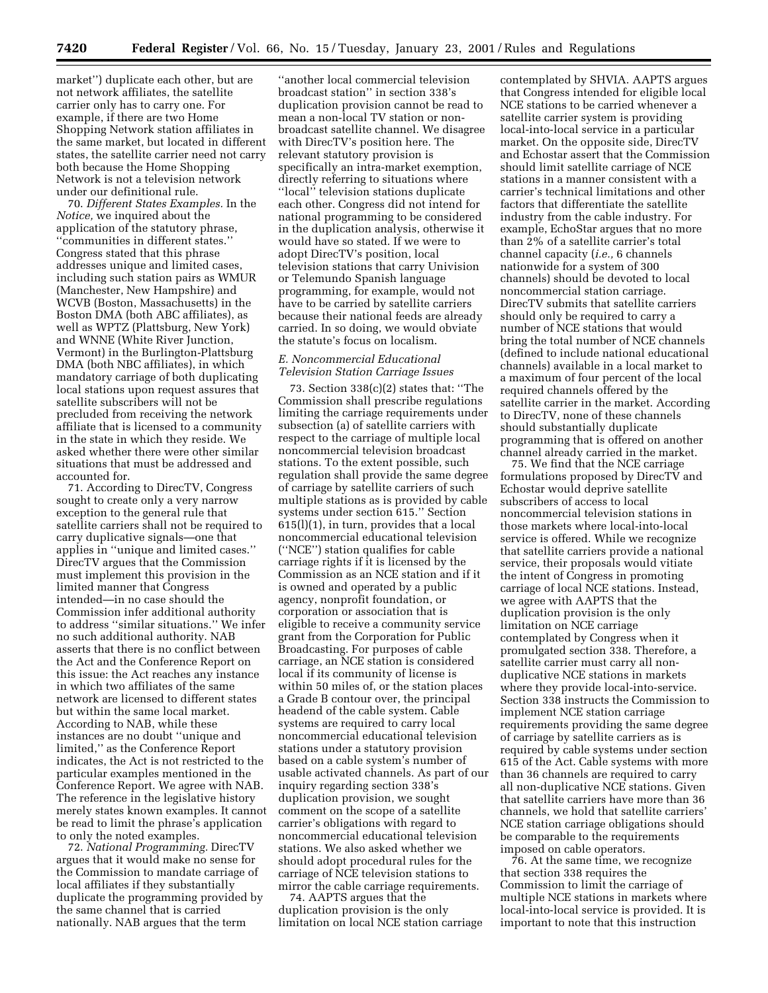market'') duplicate each other, but are not network affiliates, the satellite carrier only has to carry one. For example, if there are two Home Shopping Network station affiliates in the same market, but located in different states, the satellite carrier need not carry both because the Home Shopping Network is not a television network under our definitional rule.

70. *Different States Examples.* In the *Notice,* we inquired about the application of the statutory phrase, ''communities in different states.'' Congress stated that this phrase addresses unique and limited cases, including such station pairs as WMUR (Manchester, New Hampshire) and WCVB (Boston, Massachusetts) in the Boston DMA (both ABC affiliates), as well as WPTZ (Plattsburg, New York) and WNNE (White River Junction, Vermont) in the Burlington-Plattsburg DMA (both NBC affiliates), in which mandatory carriage of both duplicating local stations upon request assures that satellite subscribers will not be precluded from receiving the network affiliate that is licensed to a community in the state in which they reside. We asked whether there were other similar situations that must be addressed and accounted for.

71. According to DirecTV, Congress sought to create only a very narrow exception to the general rule that satellite carriers shall not be required to carry duplicative signals—one that applies in ''unique and limited cases.'' DirecTV argues that the Commission must implement this provision in the limited manner that Congress intended—in no case should the Commission infer additional authority to address ''similar situations.'' We infer no such additional authority. NAB asserts that there is no conflict between the Act and the Conference Report on this issue: the Act reaches any instance in which two affiliates of the same network are licensed to different states but within the same local market. According to NAB, while these instances are no doubt ''unique and limited,'' as the Conference Report indicates, the Act is not restricted to the particular examples mentioned in the Conference Report. We agree with NAB. The reference in the legislative history merely states known examples. It cannot be read to limit the phrase's application to only the noted examples.

72. *National Programming.* DirecTV argues that it would make no sense for the Commission to mandate carriage of local affiliates if they substantially duplicate the programming provided by the same channel that is carried nationally. NAB argues that the term

''another local commercial television broadcast station'' in section 338's duplication provision cannot be read to mean a non-local TV station or nonbroadcast satellite channel. We disagree with DirecTV's position here. The relevant statutory provision is specifically an intra-market exemption, directly referring to situations where ''local'' television stations duplicate each other. Congress did not intend for national programming to be considered in the duplication analysis, otherwise it would have so stated. If we were to adopt DirecTV's position, local television stations that carry Univision or Telemundo Spanish language programming, for example, would not have to be carried by satellite carriers because their national feeds are already carried. In so doing, we would obviate the statute's focus on localism.

## *E. Noncommercial Educational Television Station Carriage Issues*

73. Section 338(c)(2) states that: ''The Commission shall prescribe regulations limiting the carriage requirements under subsection (a) of satellite carriers with respect to the carriage of multiple local noncommercial television broadcast stations. To the extent possible, such regulation shall provide the same degree of carriage by satellite carriers of such multiple stations as is provided by cable systems under section 615.'' Section 615(l)(1), in turn, provides that a local noncommercial educational television (''NCE'') station qualifies for cable carriage rights if it is licensed by the Commission as an NCE station and if it is owned and operated by a public agency, nonprofit foundation, or corporation or association that is eligible to receive a community service grant from the Corporation for Public Broadcasting. For purposes of cable carriage, an NCE station is considered local if its community of license is within 50 miles of, or the station places a Grade B contour over, the principal headend of the cable system. Cable systems are required to carry local noncommercial educational television stations under a statutory provision based on a cable system's number of usable activated channels. As part of our inquiry regarding section 338's duplication provision, we sought comment on the scope of a satellite carrier's obligations with regard to noncommercial educational television stations. We also asked whether we should adopt procedural rules for the carriage of NCE television stations to mirror the cable carriage requirements.

74. AAPTS argues that the duplication provision is the only limitation on local NCE station carriage

contemplated by SHVIA. AAPTS argues that Congress intended for eligible local NCE stations to be carried whenever a satellite carrier system is providing local-into-local service in a particular market. On the opposite side, DirecTV and Echostar assert that the Commission should limit satellite carriage of NCE stations in a manner consistent with a carrier's technical limitations and other factors that differentiate the satellite industry from the cable industry. For example, EchoStar argues that no more than 2% of a satellite carrier's total channel capacity (*i.e.,* 6 channels nationwide for a system of 300 channels) should be devoted to local noncommercial station carriage. DirecTV submits that satellite carriers should only be required to carry a number of NCE stations that would bring the total number of NCE channels (defined to include national educational channels) available in a local market to a maximum of four percent of the local required channels offered by the satellite carrier in the market. According to DirecTV, none of these channels should substantially duplicate programming that is offered on another channel already carried in the market.

75. We find that the NCE carriage formulations proposed by DirecTV and Echostar would deprive satellite subscribers of access to local noncommercial television stations in those markets where local-into-local service is offered. While we recognize that satellite carriers provide a national service, their proposals would vitiate the intent of Congress in promoting carriage of local NCE stations. Instead, we agree with AAPTS that the duplication provision is the only limitation on NCE carriage contemplated by Congress when it promulgated section 338. Therefore, a satellite carrier must carry all nonduplicative NCE stations in markets where they provide local-into-service. Section 338 instructs the Commission to implement NCE station carriage requirements providing the same degree of carriage by satellite carriers as is required by cable systems under section 615 of the Act. Cable systems with more than 36 channels are required to carry all non-duplicative NCE stations. Given that satellite carriers have more than 36 channels, we hold that satellite carriers' NCE station carriage obligations should be comparable to the requirements imposed on cable operators.

76. At the same time, we recognize that section 338 requires the Commission to limit the carriage of multiple NCE stations in markets where local-into-local service is provided. It is important to note that this instruction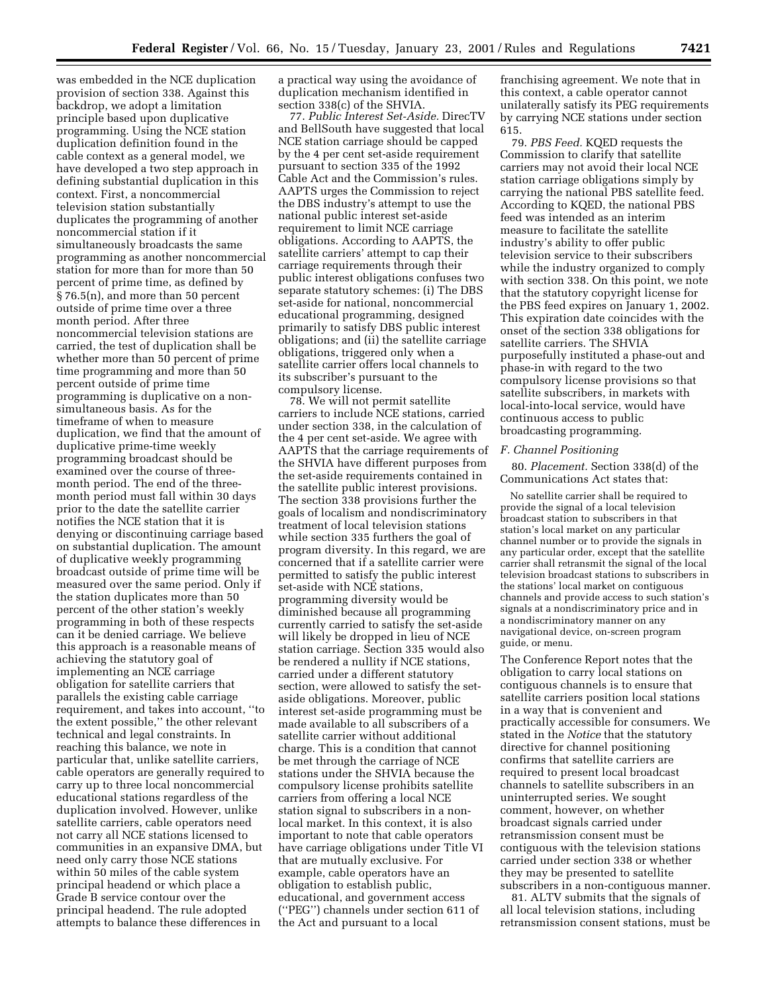was embedded in the NCE duplication provision of section 338. Against this backdrop, we adopt a limitation principle based upon duplicative programming. Using the NCE station duplication definition found in the cable context as a general model, we have developed a two step approach in defining substantial duplication in this context. First, a noncommercial television station substantially duplicates the programming of another noncommercial station if it simultaneously broadcasts the same programming as another noncommercial station for more than for more than 50 percent of prime time, as defined by § 76.5(n), and more than 50 percent outside of prime time over a three month period. After three noncommercial television stations are carried, the test of duplication shall be whether more than 50 percent of prime time programming and more than 50 percent outside of prime time programming is duplicative on a nonsimultaneous basis. As for the timeframe of when to measure duplication, we find that the amount of duplicative prime-time weekly programming broadcast should be examined over the course of threemonth period. The end of the threemonth period must fall within 30 days prior to the date the satellite carrier notifies the NCE station that it is denying or discontinuing carriage based on substantial duplication. The amount of duplicative weekly programming broadcast outside of prime time will be measured over the same period. Only if the station duplicates more than 50 percent of the other station's weekly programming in both of these respects can it be denied carriage. We believe this approach is a reasonable means of achieving the statutory goal of implementing an NCE carriage obligation for satellite carriers that parallels the existing cable carriage requirement, and takes into account, ''to the extent possible,'' the other relevant technical and legal constraints. In reaching this balance, we note in particular that, unlike satellite carriers, cable operators are generally required to carry up to three local noncommercial educational stations regardless of the duplication involved. However, unlike satellite carriers, cable operators need not carry all NCE stations licensed to communities in an expansive DMA, but need only carry those NCE stations within 50 miles of the cable system principal headend or which place a Grade B service contour over the principal headend. The rule adopted attempts to balance these differences in

a practical way using the avoidance of duplication mechanism identified in section 338(c) of the SHVIA.

77. *Public Interest Set-Aside.* DirecTV and BellSouth have suggested that local NCE station carriage should be capped by the 4 per cent set-aside requirement pursuant to section 335 of the 1992 Cable Act and the Commission's rules. AAPTS urges the Commission to reject the DBS industry's attempt to use the national public interest set-aside requirement to limit NCE carriage obligations. According to AAPTS, the satellite carriers' attempt to cap their carriage requirements through their public interest obligations confuses two separate statutory schemes: (i) The DBS set-aside for national, noncommercial educational programming, designed primarily to satisfy DBS public interest obligations; and (ii) the satellite carriage obligations, triggered only when a satellite carrier offers local channels to its subscriber's pursuant to the compulsory license.

78. We will not permit satellite carriers to include NCE stations, carried under section 338, in the calculation of the 4 per cent set-aside. We agree with AAPTS that the carriage requirements of the SHVIA have different purposes from the set-aside requirements contained in the satellite public interest provisions. The section 338 provisions further the goals of localism and nondiscriminatory treatment of local television stations while section 335 furthers the goal of program diversity. In this regard, we are concerned that if a satellite carrier were permitted to satisfy the public interest set-aside with NCE stations, programming diversity would be diminished because all programming currently carried to satisfy the set-aside will likely be dropped in lieu of NCE station carriage. Section 335 would also be rendered a nullity if NCE stations, carried under a different statutory section, were allowed to satisfy the setaside obligations. Moreover, public interest set-aside programming must be made available to all subscribers of a satellite carrier without additional charge. This is a condition that cannot be met through the carriage of NCE stations under the SHVIA because the compulsory license prohibits satellite carriers from offering a local NCE station signal to subscribers in a nonlocal market. In this context, it is also important to note that cable operators have carriage obligations under Title VI that are mutually exclusive. For example, cable operators have an obligation to establish public, educational, and government access (''PEG'') channels under section 611 of the Act and pursuant to a local

franchising agreement. We note that in this context, a cable operator cannot unilaterally satisfy its PEG requirements by carrying NCE stations under section 615.

79. *PBS Feed.* KQED requests the Commission to clarify that satellite carriers may not avoid their local NCE station carriage obligations simply by carrying the national PBS satellite feed. According to KQED, the national PBS feed was intended as an interim measure to facilitate the satellite industry's ability to offer public television service to their subscribers while the industry organized to comply with section 338. On this point, we note that the statutory copyright license for the PBS feed expires on January 1, 2002. This expiration date coincides with the onset of the section 338 obligations for satellite carriers. The SHVIA purposefully instituted a phase-out and phase-in with regard to the two compulsory license provisions so that satellite subscribers, in markets with local-into-local service, would have continuous access to public broadcasting programming.

### *F. Channel Positioning*

80. *Placement.* Section 338(d) of the Communications Act states that:

No satellite carrier shall be required to provide the signal of a local television broadcast station to subscribers in that station's local market on any particular channel number or to provide the signals in any particular order, except that the satellite carrier shall retransmit the signal of the local television broadcast stations to subscribers in the stations' local market on contiguous channels and provide access to such station's signals at a nondiscriminatory price and in a nondiscriminatory manner on any navigational device, on-screen program guide, or menu.

The Conference Report notes that the obligation to carry local stations on contiguous channels is to ensure that satellite carriers position local stations in a way that is convenient and practically accessible for consumers. We stated in the *Notice* that the statutory directive for channel positioning confirms that satellite carriers are required to present local broadcast channels to satellite subscribers in an uninterrupted series. We sought comment, however, on whether broadcast signals carried under retransmission consent must be contiguous with the television stations carried under section 338 or whether they may be presented to satellite subscribers in a non-contiguous manner.

81. ALTV submits that the signals of all local television stations, including retransmission consent stations, must be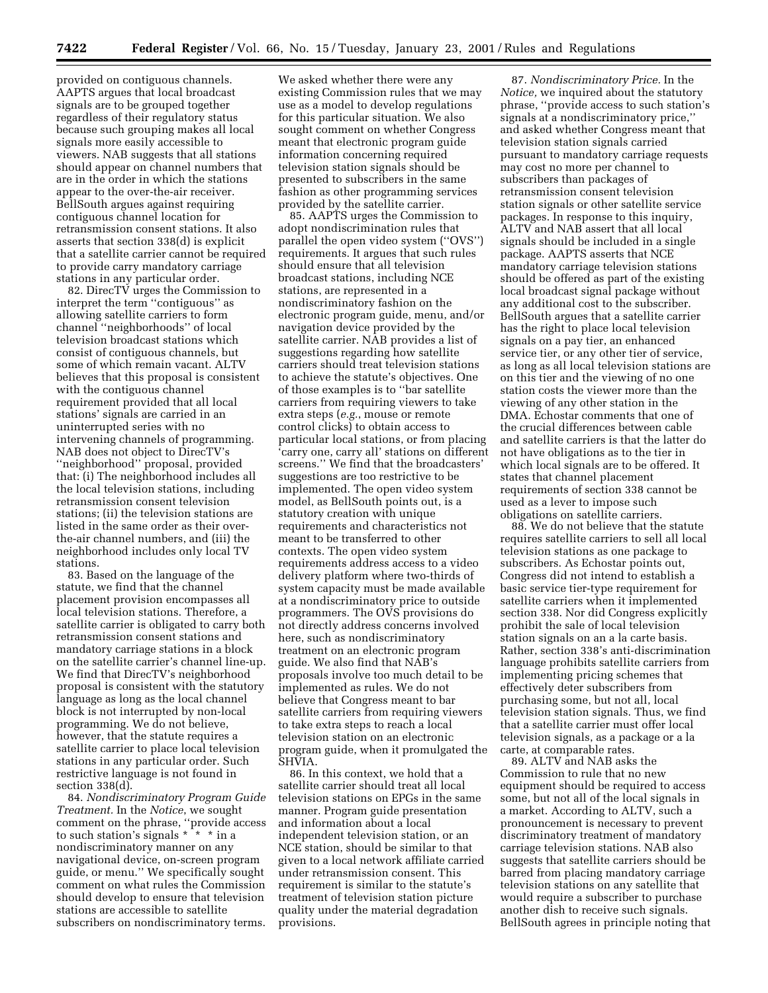provided on contiguous channels. AAPTS argues that local broadcast signals are to be grouped together regardless of their regulatory status because such grouping makes all local signals more easily accessible to viewers. NAB suggests that all stations should appear on channel numbers that are in the order in which the stations appear to the over-the-air receiver. BellSouth argues against requiring contiguous channel location for retransmission consent stations. It also asserts that section 338(d) is explicit that a satellite carrier cannot be required to provide carry mandatory carriage stations in any particular order.

82. DirecTV urges the Commission to interpret the term ''contiguous'' as allowing satellite carriers to form channel ''neighborhoods'' of local television broadcast stations which consist of contiguous channels, but some of which remain vacant. ALTV believes that this proposal is consistent with the contiguous channel requirement provided that all local stations' signals are carried in an uninterrupted series with no intervening channels of programming. NAB does not object to DirecTV's ''neighborhood'' proposal, provided that: (i) The neighborhood includes all the local television stations, including retransmission consent television stations; (ii) the television stations are listed in the same order as their overthe-air channel numbers, and (iii) the neighborhood includes only local TV stations.

83. Based on the language of the statute, we find that the channel placement provision encompasses all local television stations. Therefore, a satellite carrier is obligated to carry both retransmission consent stations and mandatory carriage stations in a block on the satellite carrier's channel line-up. We find that DirecTV's neighborhood proposal is consistent with the statutory language as long as the local channel block is not interrupted by non-local programming. We do not believe, however, that the statute requires a satellite carrier to place local television stations in any particular order. Such restrictive language is not found in section 338(d).

84. *Nondiscriminatory Program Guide Treatment.* In the *Notice*, we sought comment on the phrase, ''provide access to such station's signals \* \* \* in a nondiscriminatory manner on any navigational device, on-screen program guide, or menu.'' We specifically sought comment on what rules the Commission should develop to ensure that television stations are accessible to satellite subscribers on nondiscriminatory terms.

We asked whether there were any existing Commission rules that we may use as a model to develop regulations for this particular situation. We also sought comment on whether Congress meant that electronic program guide information concerning required television station signals should be presented to subscribers in the same fashion as other programming services provided by the satellite carrier.

85. AAPTS urges the Commission to adopt nondiscrimination rules that parallel the open video system (''OVS'') requirements. It argues that such rules should ensure that all television broadcast stations, including NCE stations, are represented in a nondiscriminatory fashion on the electronic program guide, menu, and/or navigation device provided by the satellite carrier. NAB provides a list of suggestions regarding how satellite carriers should treat television stations to achieve the statute's objectives. One of those examples is to ''bar satellite carriers from requiring viewers to take extra steps (*e.g.*, mouse or remote control clicks) to obtain access to particular local stations, or from placing 'carry one, carry all' stations on different screens.'' We find that the broadcasters' suggestions are too restrictive to be implemented. The open video system model, as BellSouth points out, is a statutory creation with unique requirements and characteristics not meant to be transferred to other contexts. The open video system requirements address access to a video delivery platform where two-thirds of system capacity must be made available at a nondiscriminatory price to outside programmers. The OVS provisions do not directly address concerns involved here, such as nondiscriminatory treatment on an electronic program guide. We also find that NAB's proposals involve too much detail to be implemented as rules. We do not believe that Congress meant to bar satellite carriers from requiring viewers to take extra steps to reach a local television station on an electronic program guide, when it promulgated the SHVIA.

86. In this context, we hold that a satellite carrier should treat all local television stations on EPGs in the same manner. Program guide presentation and information about a local independent television station, or an NCE station, should be similar to that given to a local network affiliate carried under retransmission consent. This requirement is similar to the statute's treatment of television station picture quality under the material degradation provisions.

87. *Nondiscriminatory Price.* In the *Notice,* we inquired about the statutory phrase, ''provide access to such station's signals at a nondiscriminatory price,'' and asked whether Congress meant that television station signals carried pursuant to mandatory carriage requests may cost no more per channel to subscribers than packages of retransmission consent television station signals or other satellite service packages. In response to this inquiry, ALTV and NAB assert that all local signals should be included in a single package. AAPTS asserts that NCE mandatory carriage television stations should be offered as part of the existing local broadcast signal package without any additional cost to the subscriber. BellSouth argues that a satellite carrier has the right to place local television signals on a pay tier, an enhanced service tier, or any other tier of service, as long as all local television stations are on this tier and the viewing of no one station costs the viewer more than the viewing of any other station in the DMA. Echostar comments that one of the crucial differences between cable and satellite carriers is that the latter do not have obligations as to the tier in which local signals are to be offered. It states that channel placement requirements of section 338 cannot be used as a lever to impose such obligations on satellite carriers.

88. We do not believe that the statute requires satellite carriers to sell all local television stations as one package to subscribers. As Echostar points out, Congress did not intend to establish a basic service tier-type requirement for satellite carriers when it implemented section 338. Nor did Congress explicitly prohibit the sale of local television station signals on an a la carte basis. Rather, section 338's anti-discrimination language prohibits satellite carriers from implementing pricing schemes that effectively deter subscribers from purchasing some, but not all, local television station signals. Thus, we find that a satellite carrier must offer local television signals, as a package or a la carte, at comparable rates.

89. ALTV and NAB asks the Commission to rule that no new equipment should be required to access some, but not all of the local signals in a market. According to ALTV, such a pronouncement is necessary to prevent discriminatory treatment of mandatory carriage television stations. NAB also suggests that satellite carriers should be barred from placing mandatory carriage television stations on any satellite that would require a subscriber to purchase another dish to receive such signals. BellSouth agrees in principle noting that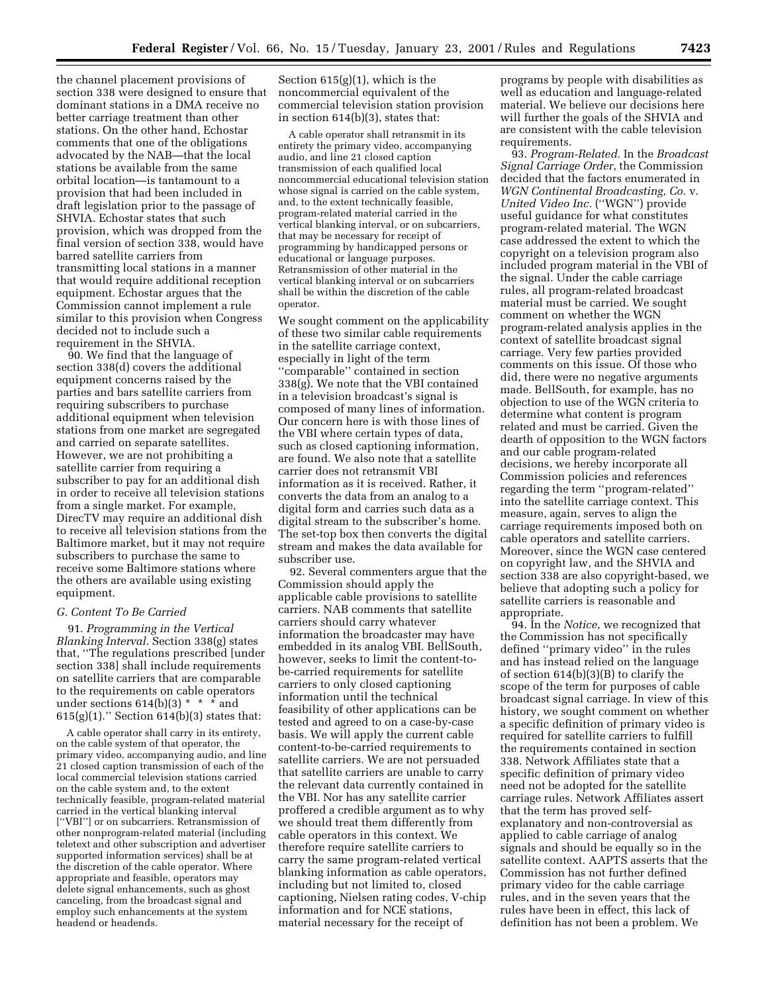the channel placement provisions of section 338 were designed to ensure that dominant stations in a DMA receive no better carriage treatment than other stations. On the other hand, Echostar comments that one of the obligations advocated by the NAB—that the local stations be available from the same orbital location—is tantamount to a provision that had been included in draft legislation prior to the passage of SHVIA. Echostar states that such provision, which was dropped from the final version of section 338, would have barred satellite carriers from transmitting local stations in a manner that would require additional reception equipment. Echostar argues that the Commission cannot implement a rule similar to this provision when Congress decided not to include such a requirement in the SHVIA.

90. We find that the language of section 338(d) covers the additional equipment concerns raised by the parties and bars satellite carriers from requiring subscribers to purchase additional equipment when television stations from one market are segregated and carried on separate satellites. However, we are not prohibiting a satellite carrier from requiring a subscriber to pay for an additional dish in order to receive all television stations from a single market. For example, DirecTV may require an additional dish to receive all television stations from the Baltimore market, but it may not require subscribers to purchase the same to receive some Baltimore stations where the others are available using existing equipment.

#### *G. Content To Be Carried*

91. *Programming in the Vertical Blanking Interval.* Section 338(g) states that, ''The regulations prescribed [under section 338] shall include requirements on satellite carriers that are comparable to the requirements on cable operators under sections  $614(b)(3) * * *$  and  $615(g)(1)$ ." Section  $614(b)(3)$  states that:

A cable operator shall carry in its entirety, on the cable system of that operator, the primary video, accompanying audio, and line 21 closed caption transmission of each of the local commercial television stations carried on the cable system and, to the extent technically feasible, program-related material carried in the vertical blanking interval [''VBI''] or on subcarriers. Retransmission of other nonprogram-related material (including teletext and other subscription and advertiser supported information services) shall be at the discretion of the cable operator. Where appropriate and feasible, operators may delete signal enhancements, such as ghost canceling, from the broadcast signal and employ such enhancements at the system headend or headends.

Section  $615(g)(1)$ , which is the noncommercial equivalent of the commercial television station provision in section 614(b)(3), states that:

A cable operator shall retransmit in its entirety the primary video, accompanying audio, and line 21 closed caption transmission of each qualified local noncommercial educational television station whose signal is carried on the cable system, and, to the extent technically feasible, program-related material carried in the vertical blanking interval, or on subcarriers, that may be necessary for receipt of programming by handicapped persons or educational or language purposes. Retransmission of other material in the vertical blanking interval or on subcarriers shall be within the discretion of the cable operator.

We sought comment on the applicability of these two similar cable requirements in the satellite carriage context, especially in light of the term ''comparable'' contained in section 338(g). We note that the VBI contained in a television broadcast's signal is composed of many lines of information. Our concern here is with those lines of the VBI where certain types of data, such as closed captioning information, are found. We also note that a satellite carrier does not retransmit VBI information as it is received. Rather, it converts the data from an analog to a digital form and carries such data as a digital stream to the subscriber's home. The set-top box then converts the digital stream and makes the data available for subscriber use.

92. Several commenters argue that the Commission should apply the applicable cable provisions to satellite carriers. NAB comments that satellite carriers should carry whatever information the broadcaster may have embedded in its analog VBI. BellSouth, however, seeks to limit the content-tobe-carried requirements for satellite carriers to only closed captioning information until the technical feasibility of other applications can be tested and agreed to on a case-by-case basis. We will apply the current cable content-to-be-carried requirements to satellite carriers. We are not persuaded that satellite carriers are unable to carry the relevant data currently contained in the VBI. Nor has any satellite carrier proffered a credible argument as to why we should treat them differently from cable operators in this context. We therefore require satellite carriers to carry the same program-related vertical blanking information as cable operators, including but not limited to, closed captioning, Nielsen rating codes, V-chip information and for NCE stations, material necessary for the receipt of

programs by people with disabilities as well as education and language-related material. We believe our decisions here will further the goals of the SHVIA and are consistent with the cable television requirements.

93. *Program-Related.* In the *Broadcast Signal Carriage Order*, the Commission decided that the factors enumerated in *WGN Continental Broadcasting, Co.* v. *United Video Inc.* (''WGN'') provide useful guidance for what constitutes program-related material. The WGN case addressed the extent to which the copyright on a television program also included program material in the VBI of the signal. Under the cable carriage rules, all program-related broadcast material must be carried. We sought comment on whether the WGN program-related analysis applies in the context of satellite broadcast signal carriage. Very few parties provided comments on this issue. Of those who did, there were no negative arguments made. BellSouth, for example, has no objection to use of the WGN criteria to determine what content is program related and must be carried. Given the dearth of opposition to the WGN factors and our cable program-related decisions, we hereby incorporate all Commission policies and references regarding the term ''program-related'' into the satellite carriage context. This measure, again, serves to align the carriage requirements imposed both on cable operators and satellite carriers. Moreover, since the WGN case centered on copyright law, and the SHVIA and section 338 are also copyright-based, we believe that adopting such a policy for satellite carriers is reasonable and appropriate.

94. In the *Notice*, we recognized that the Commission has not specifically defined ''primary video'' in the rules and has instead relied on the language of section 614(b)(3)(B) to clarify the scope of the term for purposes of cable broadcast signal carriage. In view of this history, we sought comment on whether a specific definition of primary video is required for satellite carriers to fulfill the requirements contained in section 338. Network Affiliates state that a specific definition of primary video need not be adopted for the satellite carriage rules. Network Affiliates assert that the term has proved selfexplanatory and non-controversial as applied to cable carriage of analog signals and should be equally so in the satellite context. AAPTS asserts that the Commission has not further defined primary video for the cable carriage rules, and in the seven years that the rules have been in effect, this lack of definition has not been a problem. We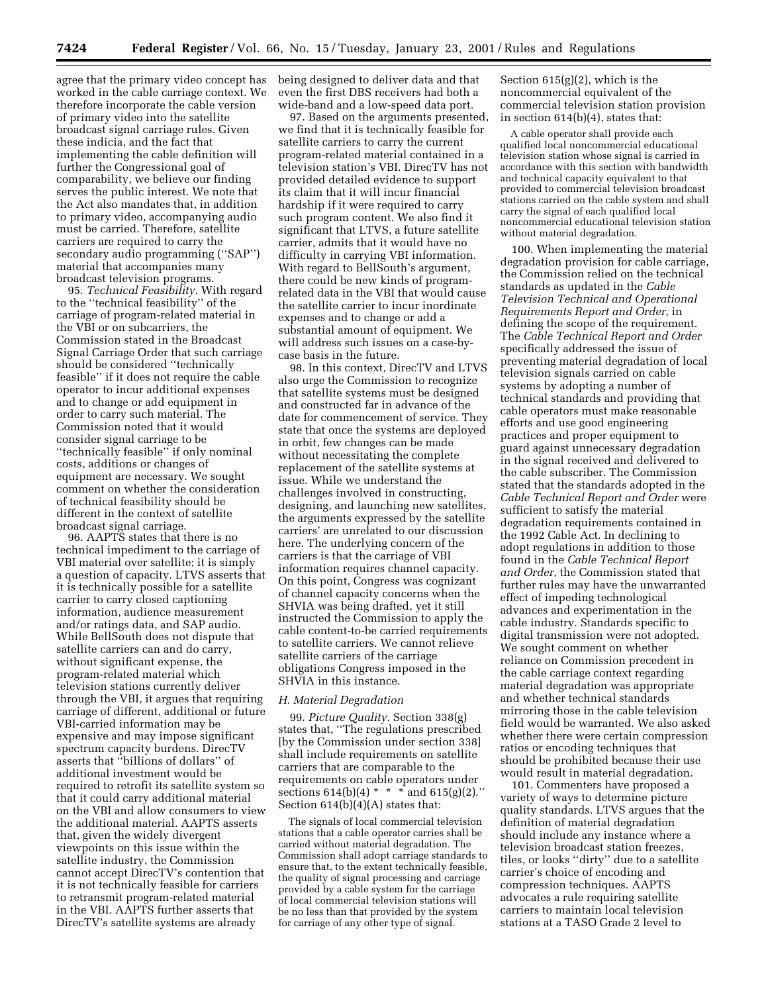agree that the primary video concept has worked in the cable carriage context. We therefore incorporate the cable version of primary video into the satellite broadcast signal carriage rules. Given these indicia, and the fact that implementing the cable definition will further the Congressional goal of comparability, we believe our finding serves the public interest. We note that the Act also mandates that, in addition to primary video, accompanying audio must be carried. Therefore, satellite carriers are required to carry the secondary audio programming (''SAP'') material that accompanies many broadcast television programs.

95. *Technical Feasibility.* With regard to the ''technical feasibility'' of the carriage of program-related material in the VBI or on subcarriers, the Commission stated in the Broadcast Signal Carriage Order that such carriage should be considered ''technically feasible'' if it does not require the cable operator to incur additional expenses and to change or add equipment in order to carry such material. The Commission noted that it would consider signal carriage to be ''technically feasible'' if only nominal costs, additions or changes of equipment are necessary. We sought comment on whether the consideration of technical feasibility should be different in the context of satellite broadcast signal carriage.

96. AAPTS states that there is no technical impediment to the carriage of VBI material over satellite; it is simply a question of capacity. LTVS asserts that it is technically possible for a satellite carrier to carry closed captioning information, audience measurement and/or ratings data, and SAP audio. While BellSouth does not dispute that satellite carriers can and do carry, without significant expense, the program-related material which television stations currently deliver through the VBI, it argues that requiring carriage of different, additional or future VBI-carried information may be expensive and may impose significant spectrum capacity burdens. DirecTV asserts that ''billions of dollars'' of additional investment would be required to retrofit its satellite system so that it could carry additional material on the VBI and allow consumers to view the additional material. AAPTS asserts that, given the widely divergent viewpoints on this issue within the satellite industry, the Commission cannot accept DirecTV's contention that it is not technically feasible for carriers to retransmit program-related material in the VBI. AAPTS further asserts that DirecTV's satellite systems are already

being designed to deliver data and that even the first DBS receivers had both a wide-band and a low-speed data port.

97. Based on the arguments presented, we find that it is technically feasible for satellite carriers to carry the current program-related material contained in a television station's VBI. DirecTV has not provided detailed evidence to support its claim that it will incur financial hardship if it were required to carry such program content. We also find it significant that LTVS, a future satellite carrier, admits that it would have no difficulty in carrying VBI information. With regard to BellSouth's argument, there could be new kinds of programrelated data in the VBI that would cause the satellite carrier to incur inordinate expenses and to change or add a substantial amount of equipment. We will address such issues on a case-bycase basis in the future.

98. In this context, DirecTV and LTVS also urge the Commission to recognize that satellite systems must be designed and constructed far in advance of the date for commencement of service. They state that once the systems are deployed in orbit, few changes can be made without necessitating the complete replacement of the satellite systems at issue. While we understand the challenges involved in constructing, designing, and launching new satellites, the arguments expressed by the satellite carriers' are unrelated to our discussion here. The underlying concern of the carriers is that the carriage of VBI information requires channel capacity. On this point, Congress was cognizant of channel capacity concerns when the SHVIA was being drafted, yet it still instructed the Commission to apply the cable content-to-be carried requirements to satellite carriers. We cannot relieve satellite carriers of the carriage obligations Congress imposed in the SHVIA in this instance.

#### *H. Material Degradation*

99. *Picture Quality.* Section 338(g) states that, ''The regulations prescribed [by the Commission under section 338] shall include requirements on satellite carriers that are comparable to the requirements on cable operators under sections  $614(b)(4) * * *$  and  $615(g)(2)$ ." Section 614(b)(4)(A) states that:

The signals of local commercial television stations that a cable operator carries shall be carried without material degradation. The Commission shall adopt carriage standards to ensure that, to the extent technically feasible, the quality of signal processing and carriage provided by a cable system for the carriage of local commercial television stations will be no less than that provided by the system for carriage of any other type of signal.

Section  $615(g)(2)$ , which is the noncommercial equivalent of the commercial television station provision in section 614(b)(4), states that:

A cable operator shall provide each qualified local noncommercial educational television station whose signal is carried in accordance with this section with bandwidth and technical capacity equivalent to that provided to commercial television broadcast stations carried on the cable system and shall carry the signal of each qualified local noncommercial educational television station without material degradation.

100. When implementing the material degradation provision for cable carriage, the Commission relied on the technical standards as updated in the *Cable Television Technical and Operational Requirements Report and Order*, in defining the scope of the requirement. The *Cable Technical Report and Order* specifically addressed the issue of preventing material degradation of local television signals carried on cable systems by adopting a number of technical standards and providing that cable operators must make reasonable efforts and use good engineering practices and proper equipment to guard against unnecessary degradation in the signal received and delivered to the cable subscriber. The Commission stated that the standards adopted in the *Cable Technical Report and Order* were sufficient to satisfy the material degradation requirements contained in the 1992 Cable Act. In declining to adopt regulations in addition to those found in the *Cable Technical Report and Order*, the Commission stated that further rules may have the unwarranted effect of impeding technological advances and experimentation in the cable industry. Standards specific to digital transmission were not adopted. We sought comment on whether reliance on Commission precedent in the cable carriage context regarding material degradation was appropriate and whether technical standards mirroring those in the cable television field would be warranted. We also asked whether there were certain compression ratios or encoding techniques that should be prohibited because their use would result in material degradation.

101. Commenters have proposed a variety of ways to determine picture quality standards. LTVS argues that the definition of material degradation should include any instance where a television broadcast station freezes, tiles, or looks ''dirty'' due to a satellite carrier's choice of encoding and compression techniques. AAPTS advocates a rule requiring satellite carriers to maintain local television stations at a TASO Grade 2 level to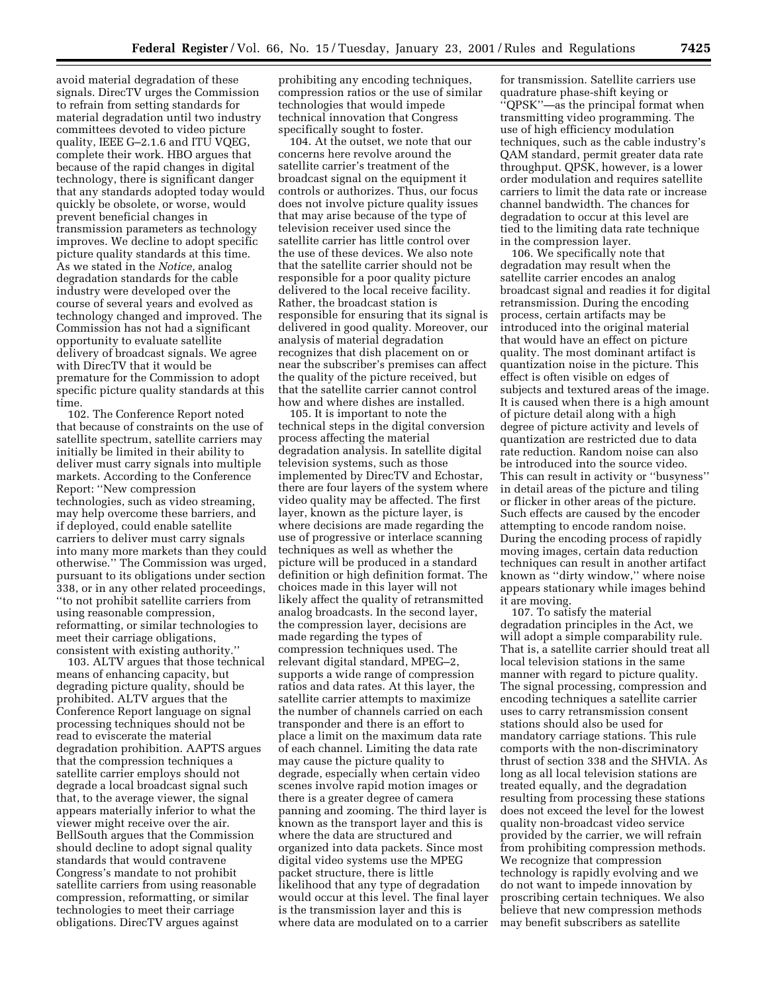avoid material degradation of these signals. DirecTV urges the Commission to refrain from setting standards for material degradation until two industry committees devoted to video picture quality, IEEE G–2.1.6 and ITU VQEG, complete their work. HBO argues that because of the rapid changes in digital technology, there is significant danger that any standards adopted today would quickly be obsolete, or worse, would prevent beneficial changes in transmission parameters as technology improves. We decline to adopt specific picture quality standards at this time. As we stated in the *Notice,* analog degradation standards for the cable industry were developed over the course of several years and evolved as technology changed and improved. The Commission has not had a significant opportunity to evaluate satellite delivery of broadcast signals. We agree with DirecTV that it would be premature for the Commission to adopt specific picture quality standards at this time.

102. The Conference Report noted that because of constraints on the use of satellite spectrum, satellite carriers may initially be limited in their ability to deliver must carry signals into multiple markets. According to the Conference Report: ''New compression technologies, such as video streaming, may help overcome these barriers, and if deployed, could enable satellite carriers to deliver must carry signals into many more markets than they could otherwise.'' The Commission was urged, pursuant to its obligations under section 338, or in any other related proceedings, ''to not prohibit satellite carriers from using reasonable compression, reformatting, or similar technologies to meet their carriage obligations, consistent with existing authority.''

103. ALTV argues that those technical means of enhancing capacity, but degrading picture quality, should be prohibited. ALTV argues that the Conference Report language on signal processing techniques should not be read to eviscerate the material degradation prohibition. AAPTS argues that the compression techniques a satellite carrier employs should not degrade a local broadcast signal such that, to the average viewer, the signal appears materially inferior to what the viewer might receive over the air. BellSouth argues that the Commission should decline to adopt signal quality standards that would contravene Congress's mandate to not prohibit satellite carriers from using reasonable compression, reformatting, or similar technologies to meet their carriage obligations. DirecTV argues against

prohibiting any encoding techniques, compression ratios or the use of similar technologies that would impede technical innovation that Congress specifically sought to foster.

104. At the outset, we note that our concerns here revolve around the satellite carrier's treatment of the broadcast signal on the equipment it controls or authorizes. Thus, our focus does not involve picture quality issues that may arise because of the type of television receiver used since the satellite carrier has little control over the use of these devices. We also note that the satellite carrier should not be responsible for a poor quality picture delivered to the local receive facility. Rather, the broadcast station is responsible for ensuring that its signal is delivered in good quality. Moreover, our analysis of material degradation recognizes that dish placement on or near the subscriber's premises can affect the quality of the picture received, but that the satellite carrier cannot control how and where dishes are installed.

105. It is important to note the technical steps in the digital conversion process affecting the material degradation analysis. In satellite digital television systems, such as those implemented by DirecTV and Echostar, there are four layers of the system where video quality may be affected. The first layer, known as the picture layer, is where decisions are made regarding the use of progressive or interlace scanning techniques as well as whether the picture will be produced in a standard definition or high definition format. The choices made in this layer will not likely affect the quality of retransmitted analog broadcasts. In the second layer, the compression layer, decisions are made regarding the types of compression techniques used. The relevant digital standard, MPEG–2, supports a wide range of compression ratios and data rates. At this layer, the satellite carrier attempts to maximize the number of channels carried on each transponder and there is an effort to place a limit on the maximum data rate of each channel. Limiting the data rate may cause the picture quality to degrade, especially when certain video scenes involve rapid motion images or there is a greater degree of camera panning and zooming. The third layer is known as the transport layer and this is where the data are structured and organized into data packets. Since most digital video systems use the MPEG packet structure, there is little likelihood that any type of degradation would occur at this level. The final layer is the transmission layer and this is where data are modulated on to a carrier

for transmission. Satellite carriers use quadrature phase-shift keying or ''QPSK''—as the principal format when transmitting video programming. The use of high efficiency modulation techniques, such as the cable industry's QAM standard, permit greater data rate throughput. QPSK, however, is a lower order modulation and requires satellite carriers to limit the data rate or increase channel bandwidth. The chances for degradation to occur at this level are tied to the limiting data rate technique in the compression layer.

106. We specifically note that degradation may result when the satellite carrier encodes an analog broadcast signal and readies it for digital retransmission. During the encoding process, certain artifacts may be introduced into the original material that would have an effect on picture quality. The most dominant artifact is quantization noise in the picture. This effect is often visible on edges of subjects and textured areas of the image. It is caused when there is a high amount of picture detail along with a high degree of picture activity and levels of quantization are restricted due to data rate reduction. Random noise can also be introduced into the source video. This can result in activity or ''busyness'' in detail areas of the picture and tiling or flicker in other areas of the picture. Such effects are caused by the encoder attempting to encode random noise. During the encoding process of rapidly moving images, certain data reduction techniques can result in another artifact known as ''dirty window,'' where noise appears stationary while images behind it are moving.

107. To satisfy the material degradation principles in the Act, we will adopt a simple comparability rule. That is, a satellite carrier should treat all local television stations in the same manner with regard to picture quality. The signal processing, compression and encoding techniques a satellite carrier uses to carry retransmission consent stations should also be used for mandatory carriage stations. This rule comports with the non-discriminatory thrust of section 338 and the SHVIA. As long as all local television stations are treated equally, and the degradation resulting from processing these stations does not exceed the level for the lowest quality non-broadcast video service provided by the carrier, we will refrain from prohibiting compression methods. We recognize that compression technology is rapidly evolving and we do not want to impede innovation by proscribing certain techniques. We also believe that new compression methods may benefit subscribers as satellite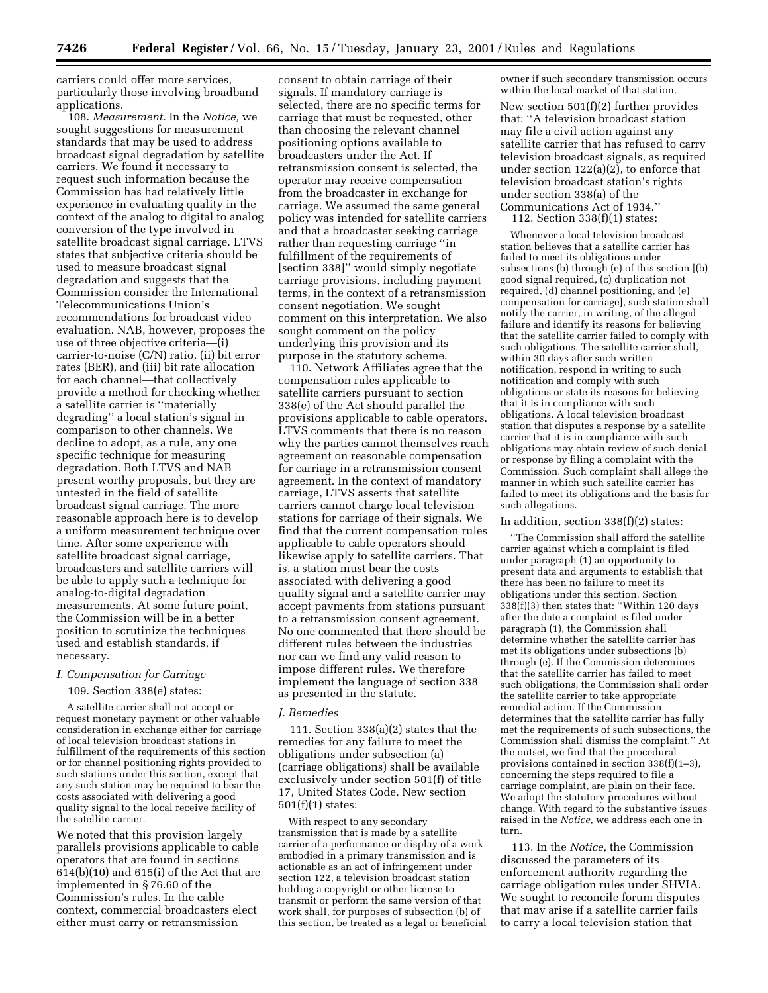carriers could offer more services, particularly those involving broadband applications.

108. *Measurement.* In the *Notice,* we sought suggestions for measurement standards that may be used to address broadcast signal degradation by satellite carriers. We found it necessary to request such information because the Commission has had relatively little experience in evaluating quality in the context of the analog to digital to analog conversion of the type involved in satellite broadcast signal carriage. LTVS states that subjective criteria should be used to measure broadcast signal degradation and suggests that the Commission consider the International Telecommunications Union's recommendations for broadcast video evaluation. NAB, however, proposes the use of three objective criteria—(i) carrier-to-noise (C/N) ratio, (ii) bit error rates (BER), and (iii) bit rate allocation for each channel—that collectively provide a method for checking whether a satellite carrier is ''materially degrading'' a local station's signal in comparison to other channels. We decline to adopt, as a rule, any one specific technique for measuring degradation. Both LTVS and NAB present worthy proposals, but they are untested in the field of satellite broadcast signal carriage. The more reasonable approach here is to develop a uniform measurement technique over time. After some experience with satellite broadcast signal carriage, broadcasters and satellite carriers will be able to apply such a technique for analog-to-digital degradation measurements. At some future point, the Commission will be in a better position to scrutinize the techniques used and establish standards, if necessary.

#### *I. Compensation for Carriage*

### 109. Section 338(e) states:

A satellite carrier shall not accept or request monetary payment or other valuable consideration in exchange either for carriage of local television broadcast stations in fulfillment of the requirements of this section or for channel positioning rights provided to such stations under this section, except that any such station may be required to bear the costs associated with delivering a good quality signal to the local receive facility of the satellite carrier.

We noted that this provision largely parallels provisions applicable to cable operators that are found in sections 614(b)(10) and 615(i) of the Act that are implemented in § 76.60 of the Commission's rules. In the cable context, commercial broadcasters elect either must carry or retransmission

consent to obtain carriage of their signals. If mandatory carriage is selected, there are no specific terms for carriage that must be requested, other than choosing the relevant channel positioning options available to broadcasters under the Act. If retransmission consent is selected, the operator may receive compensation from the broadcaster in exchange for carriage. We assumed the same general policy was intended for satellite carriers and that a broadcaster seeking carriage rather than requesting carriage ''in fulfillment of the requirements of [section 338]'' would simply negotiate carriage provisions, including payment terms, in the context of a retransmission consent negotiation. We sought comment on this interpretation. We also sought comment on the policy underlying this provision and its purpose in the statutory scheme.

110. Network Affiliates agree that the compensation rules applicable to satellite carriers pursuant to section 338(e) of the Act should parallel the provisions applicable to cable operators. LTVS comments that there is no reason why the parties cannot themselves reach agreement on reasonable compensation for carriage in a retransmission consent agreement. In the context of mandatory carriage, LTVS asserts that satellite carriers cannot charge local television stations for carriage of their signals. We find that the current compensation rules applicable to cable operators should likewise apply to satellite carriers. That is, a station must bear the costs associated with delivering a good quality signal and a satellite carrier may accept payments from stations pursuant to a retransmission consent agreement. No one commented that there should be different rules between the industries nor can we find any valid reason to impose different rules. We therefore implement the language of section 338 as presented in the statute.

#### *J. Remedies*

111. Section 338(a)(2) states that the remedies for any failure to meet the obligations under subsection (a) (carriage obligations) shall be available exclusively under section 501(f) of title 17, United States Code. New section 501(f)(1) states:

With respect to any secondary transmission that is made by a satellite carrier of a performance or display of a work embodied in a primary transmission and is actionable as an act of infringement under section 122, a television broadcast station holding a copyright or other license to transmit or perform the same version of that work shall, for purposes of subsection (b) of this section, be treated as a legal or beneficial

owner if such secondary transmission occurs within the local market of that station. New section 501(f)(2) further provides that: ''A television broadcast station may file a civil action against any satellite carrier that has refused to carry television broadcast signals, as required under section 122(a)(2), to enforce that television broadcast station's rights under section 338(a) of the Communications Act of 1934.''

112. Section 338(f)(1) states:

Whenever a local television broadcast station believes that a satellite carrier has failed to meet its obligations under subsections (b) through (e) of this section [(b) good signal required, (c) duplication not required, (d) channel positioning, and (e) compensation for carriage], such station shall notify the carrier, in writing, of the alleged failure and identify its reasons for believing that the satellite carrier failed to comply with such obligations. The satellite carrier shall, within 30 days after such written notification, respond in writing to such notification and comply with such obligations or state its reasons for believing that it is in compliance with such obligations. A local television broadcast station that disputes a response by a satellite carrier that it is in compliance with such obligations may obtain review of such denial or response by filing a complaint with the Commission. Such complaint shall allege the manner in which such satellite carrier has failed to meet its obligations and the basis for such allegations.

### In addition, section 338(f)(2) states:

''The Commission shall afford the satellite carrier against which a complaint is filed under paragraph (1) an opportunity to present data and arguments to establish that there has been no failure to meet its obligations under this section. Section 338(f)(3) then states that: ''Within 120 days after the date a complaint is filed under paragraph (1), the Commission shall determine whether the satellite carrier has met its obligations under subsections (b) through (e). If the Commission determines that the satellite carrier has failed to meet such obligations, the Commission shall order the satellite carrier to take appropriate remedial action. If the Commission determines that the satellite carrier has fully met the requirements of such subsections, the Commission shall dismiss the complaint.'' At the outset, we find that the procedural provisions contained in section 338(f)(1–3), concerning the steps required to file a carriage complaint, are plain on their face. We adopt the statutory procedures without change. With regard to the substantive issues raised in the *Notice,* we address each one in turn.

113. In the *Notice,* the Commission discussed the parameters of its enforcement authority regarding the carriage obligation rules under SHVIA. We sought to reconcile forum disputes that may arise if a satellite carrier fails to carry a local television station that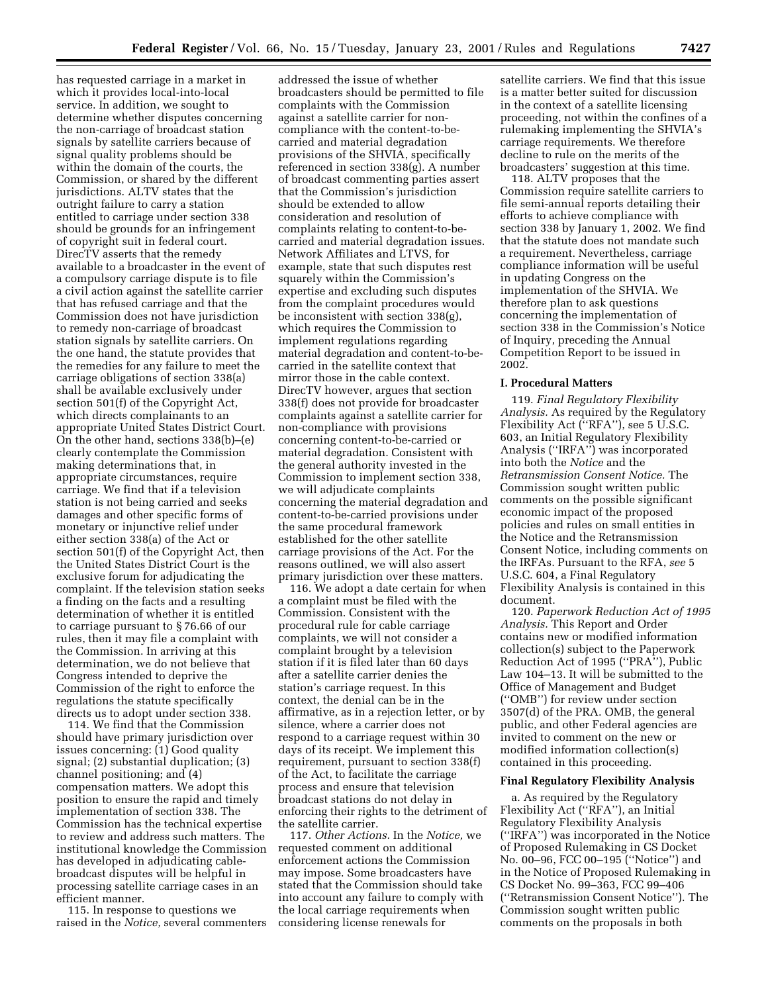has requested carriage in a market in which it provides local-into-local service. In addition, we sought to determine whether disputes concerning the non-carriage of broadcast station signals by satellite carriers because of signal quality problems should be within the domain of the courts, the Commission, or shared by the different jurisdictions. ALTV states that the outright failure to carry a station entitled to carriage under section 338 should be grounds for an infringement of copyright suit in federal court. DirecTV asserts that the remedy available to a broadcaster in the event of a compulsory carriage dispute is to file a civil action against the satellite carrier that has refused carriage and that the Commission does not have jurisdiction to remedy non-carriage of broadcast station signals by satellite carriers. On the one hand, the statute provides that the remedies for any failure to meet the carriage obligations of section 338(a) shall be available exclusively under section 501(f) of the Copyright Act, which directs complainants to an appropriate United States District Court. On the other hand, sections 338(b)–(e) clearly contemplate the Commission making determinations that, in appropriate circumstances, require carriage. We find that if a television station is not being carried and seeks damages and other specific forms of monetary or injunctive relief under either section 338(a) of the Act or section 501(f) of the Copyright Act, then the United States District Court is the exclusive forum for adjudicating the complaint. If the television station seeks a finding on the facts and a resulting determination of whether it is entitled to carriage pursuant to § 76.66 of our rules, then it may file a complaint with the Commission. In arriving at this determination, we do not believe that Congress intended to deprive the Commission of the right to enforce the regulations the statute specifically directs us to adopt under section 338.

114. We find that the Commission should have primary jurisdiction over issues concerning: (1) Good quality signal; (2) substantial duplication; (3) channel positioning; and (4) compensation matters. We adopt this position to ensure the rapid and timely implementation of section 338. The Commission has the technical expertise to review and address such matters. The institutional knowledge the Commission has developed in adjudicating cablebroadcast disputes will be helpful in processing satellite carriage cases in an efficient manner.

115. In response to questions we raised in the *Notice,* several commenters

addressed the issue of whether broadcasters should be permitted to file complaints with the Commission against a satellite carrier for noncompliance with the content-to-becarried and material degradation provisions of the SHVIA, specifically referenced in section 338(g). A number of broadcast commenting parties assert that the Commission's jurisdiction should be extended to allow consideration and resolution of complaints relating to content-to-becarried and material degradation issues. Network Affiliates and LTVS, for example, state that such disputes rest squarely within the Commission's expertise and excluding such disputes from the complaint procedures would be inconsistent with section 338(g), which requires the Commission to implement regulations regarding material degradation and content-to-becarried in the satellite context that mirror those in the cable context. DirecTV however, argues that section 338(f) does not provide for broadcaster complaints against a satellite carrier for non-compliance with provisions concerning content-to-be-carried or material degradation. Consistent with the general authority invested in the Commission to implement section 338, we will adjudicate complaints concerning the material degradation and content-to-be-carried provisions under the same procedural framework established for the other satellite carriage provisions of the Act. For the reasons outlined, we will also assert primary jurisdiction over these matters.

116. We adopt a date certain for when a complaint must be filed with the Commission. Consistent with the procedural rule for cable carriage complaints, we will not consider a complaint brought by a television station if it is filed later than 60 days after a satellite carrier denies the station's carriage request. In this context, the denial can be in the affirmative, as in a rejection letter, or by silence, where a carrier does not respond to a carriage request within 30 days of its receipt. We implement this requirement, pursuant to section 338(f) of the Act, to facilitate the carriage process and ensure that television broadcast stations do not delay in enforcing their rights to the detriment of the satellite carrier.

117. *Other Actions.* In the *Notice,* we requested comment on additional enforcement actions the Commission may impose. Some broadcasters have stated that the Commission should take into account any failure to comply with the local carriage requirements when considering license renewals for

satellite carriers. We find that this issue is a matter better suited for discussion in the context of a satellite licensing proceeding, not within the confines of a rulemaking implementing the SHVIA's carriage requirements. We therefore decline to rule on the merits of the broadcasters' suggestion at this time.

118. ALTV proposes that the Commission require satellite carriers to file semi-annual reports detailing their efforts to achieve compliance with section 338 by January 1, 2002. We find that the statute does not mandate such a requirement. Nevertheless, carriage compliance information will be useful in updating Congress on the implementation of the SHVIA. We therefore plan to ask questions concerning the implementation of section 338 in the Commission's Notice of Inquiry, preceding the Annual Competition Report to be issued in 2002.

### **I. Procedural Matters**

119. *Final Regulatory Flexibility Analysis.* As required by the Regulatory Flexibility Act (''RFA''), see 5 U.S.C. 603, an Initial Regulatory Flexibility Analysis (''IRFA'') was incorporated into both the *Notice* and the *Retransmission Consent Notice.* The Commission sought written public comments on the possible significant economic impact of the proposed policies and rules on small entities in the Notice and the Retransmission Consent Notice, including comments on the IRFAs. Pursuant to the RFA, *see* 5 U.S.C. 604, a Final Regulatory Flexibility Analysis is contained in this document.

120. *Paperwork Reduction Act of 1995 Analysis.* This Report and Order contains new or modified information collection(s) subject to the Paperwork Reduction Act of 1995 (''PRA''), Public Law 104–13. It will be submitted to the Office of Management and Budget (''OMB'') for review under section 3507(d) of the PRA. OMB, the general public, and other Federal agencies are invited to comment on the new or modified information collection(s) contained in this proceeding.

### **Final Regulatory Flexibility Analysis**

a. As required by the Regulatory Flexibility Act (''RFA''), an Initial Regulatory Flexibility Analysis (''IRFA'') was incorporated in the Notice of Proposed Rulemaking in CS Docket No. 00–96, FCC 00–195 (''Notice'') and in the Notice of Proposed Rulemaking in CS Docket No. 99–363, FCC 99–406 (''Retransmission Consent Notice''). The Commission sought written public comments on the proposals in both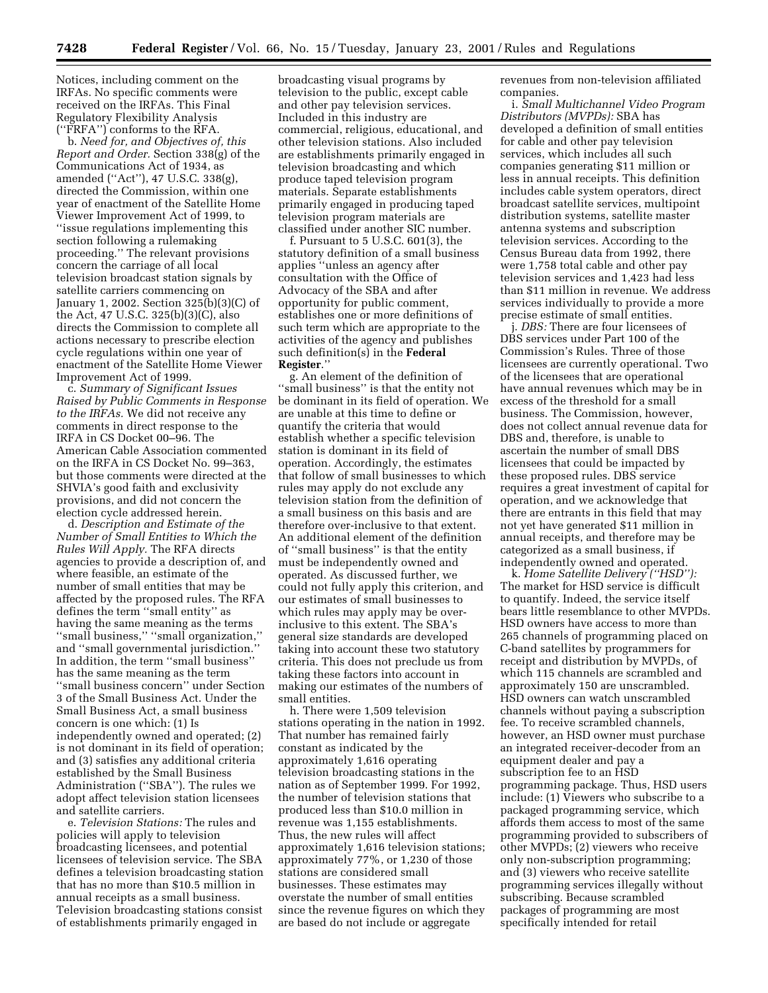Notices, including comment on the IRFAs. No specific comments were received on the IRFAs. This Final Regulatory Flexibility Analysis (''FRFA'') conforms to the RFA.

b. *Need for, and Objectives of, this Report and Order.* Section 338(g) of the Communications Act of 1934, as amended (''Act''), 47 U.S.C. 338(g), directed the Commission, within one year of enactment of the Satellite Home Viewer Improvement Act of 1999, to ''issue regulations implementing this section following a rulemaking proceeding.'' The relevant provisions concern the carriage of all local television broadcast station signals by satellite carriers commencing on January 1, 2002. Section 325(b)(3)(C) of the Act, 47 U.S.C. 325(b)(3)(C), also directs the Commission to complete all actions necessary to prescribe election cycle regulations within one year of enactment of the Satellite Home Viewer Improvement Act of 1999.

c. *Summary of Significant Issues Raised by Public Comments in Response to the IRFAs.* We did not receive any comments in direct response to the IRFA in CS Docket 00–96. The American Cable Association commented on the IRFA in CS Docket No. 99–363, but those comments were directed at the SHVIA's good faith and exclusivity provisions, and did not concern the election cycle addressed herein.

d. *Description and Estimate of the Number of Small Entities to Which the Rules Will Apply.* The RFA directs agencies to provide a description of, and where feasible, an estimate of the number of small entities that may be affected by the proposed rules. The RFA defines the term ''small entity'' as having the same meaning as the terms ''small business,'' ''small organization,'' and ''small governmental jurisdiction.'' In addition, the term ''small business'' has the same meaning as the term ''small business concern'' under Section 3 of the Small Business Act. Under the Small Business Act, a small business concern is one which: (1) Is independently owned and operated; (2) is not dominant in its field of operation; and (3) satisfies any additional criteria established by the Small Business Administration (''SBA''). The rules we adopt affect television station licensees and satellite carriers.

e. *Television Stations:* The rules and policies will apply to television broadcasting licensees, and potential licensees of television service. The SBA defines a television broadcasting station that has no more than \$10.5 million in annual receipts as a small business. Television broadcasting stations consist of establishments primarily engaged in

broadcasting visual programs by television to the public, except cable and other pay television services. Included in this industry are commercial, religious, educational, and other television stations. Also included are establishments primarily engaged in television broadcasting and which produce taped television program materials. Separate establishments primarily engaged in producing taped television program materials are classified under another SIC number.

f. Pursuant to 5 U.S.C. 601(3), the statutory definition of a small business applies ''unless an agency after consultation with the Office of Advocacy of the SBA and after opportunity for public comment, establishes one or more definitions of such term which are appropriate to the activities of the agency and publishes such definition(s) in the **Federal Register**.''

g. An element of the definition of ''small business'' is that the entity not be dominant in its field of operation. We are unable at this time to define or quantify the criteria that would establish whether a specific television station is dominant in its field of operation. Accordingly, the estimates that follow of small businesses to which rules may apply do not exclude any television station from the definition of a small business on this basis and are therefore over-inclusive to that extent. An additional element of the definition of ''small business'' is that the entity must be independently owned and operated. As discussed further, we could not fully apply this criterion, and our estimates of small businesses to which rules may apply may be overinclusive to this extent. The SBA's general size standards are developed taking into account these two statutory criteria. This does not preclude us from taking these factors into account in making our estimates of the numbers of small entities.

h. There were 1,509 television stations operating in the nation in 1992. That number has remained fairly constant as indicated by the approximately 1,616 operating television broadcasting stations in the nation as of September 1999. For 1992, the number of television stations that produced less than \$10.0 million in revenue was 1,155 establishments. Thus, the new rules will affect approximately 1,616 television stations; approximately 77%, or 1,230 of those stations are considered small businesses. These estimates may overstate the number of small entities since the revenue figures on which they are based do not include or aggregate

revenues from non-television affiliated companies.

i. *Small Multichannel Video Program Distributors (MVPDs):* SBA has developed a definition of small entities for cable and other pay television services, which includes all such companies generating \$11 million or less in annual receipts. This definition includes cable system operators, direct broadcast satellite services, multipoint distribution systems, satellite master antenna systems and subscription television services. According to the Census Bureau data from 1992, there were 1,758 total cable and other pay television services and 1,423 had less than \$11 million in revenue. We address services individually to provide a more precise estimate of small entities.

j. *DBS:* There are four licensees of DBS services under Part 100 of the Commission's Rules. Three of those licensees are currently operational. Two of the licensees that are operational have annual revenues which may be in excess of the threshold for a small business. The Commission, however, does not collect annual revenue data for DBS and, therefore, is unable to ascertain the number of small DBS licensees that could be impacted by these proposed rules. DBS service requires a great investment of capital for operation, and we acknowledge that there are entrants in this field that may not yet have generated \$11 million in annual receipts, and therefore may be categorized as a small business, if independently owned and operated.

k. *Home Satellite Delivery (''HSD''):* The market for HSD service is difficult to quantify. Indeed, the service itself bears little resemblance to other MVPDs. HSD owners have access to more than 265 channels of programming placed on C-band satellites by programmers for receipt and distribution by MVPDs, of which 115 channels are scrambled and approximately 150 are unscrambled. HSD owners can watch unscrambled channels without paying a subscription fee. To receive scrambled channels, however, an HSD owner must purchase an integrated receiver-decoder from an equipment dealer and pay a subscription fee to an HSD programming package. Thus, HSD users include: (1) Viewers who subscribe to a packaged programming service, which affords them access to most of the same programming provided to subscribers of other MVPDs; (2) viewers who receive only non-subscription programming; and (3) viewers who receive satellite programming services illegally without subscribing. Because scrambled packages of programming are most specifically intended for retail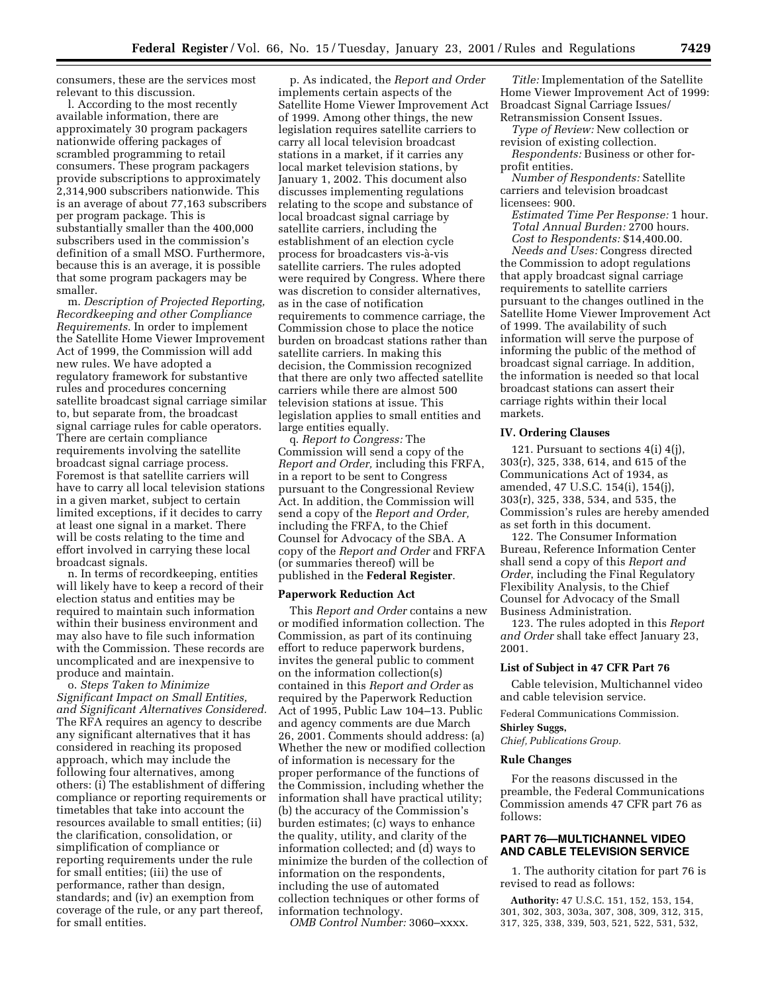consumers, these are the services most relevant to this discussion.

l. According to the most recently available information, there are approximately 30 program packagers nationwide offering packages of scrambled programming to retail consumers. These program packagers provide subscriptions to approximately 2,314,900 subscribers nationwide. This is an average of about 77,163 subscribers per program package. This is substantially smaller than the 400,000 subscribers used in the commission's definition of a small MSO. Furthermore, because this is an average, it is possible that some program packagers may be smaller.

m. *Description of Projected Reporting, Recordkeeping and other Compliance Requirements.* In order to implement the Satellite Home Viewer Improvement Act of 1999, the Commission will add new rules. We have adopted a regulatory framework for substantive rules and procedures concerning satellite broadcast signal carriage similar to, but separate from, the broadcast signal carriage rules for cable operators. There are certain compliance requirements involving the satellite broadcast signal carriage process. Foremost is that satellite carriers will have to carry all local television stations in a given market, subject to certain limited exceptions, if it decides to carry at least one signal in a market. There will be costs relating to the time and effort involved in carrying these local broadcast signals.

n. In terms of recordkeeping, entities will likely have to keep a record of their election status and entities may be required to maintain such information within their business environment and may also have to file such information with the Commission. These records are uncomplicated and are inexpensive to produce and maintain.

o. *Steps Taken to Minimize Significant Impact on Small Entities, and Significant Alternatives Considered.* The RFA requires an agency to describe any significant alternatives that it has considered in reaching its proposed approach, which may include the following four alternatives, among others: (i) The establishment of differing compliance or reporting requirements or timetables that take into account the resources available to small entities; (ii) the clarification, consolidation, or simplification of compliance or reporting requirements under the rule for small entities; (iii) the use of performance, rather than design, standards; and (iv) an exemption from coverage of the rule, or any part thereof, for small entities.

p. As indicated, the *Report and Order* implements certain aspects of the Satellite Home Viewer Improvement Act of 1999. Among other things, the new legislation requires satellite carriers to carry all local television broadcast stations in a market, if it carries any local market television stations, by January 1, 2002. This document also discusses implementing regulations relating to the scope and substance of local broadcast signal carriage by satellite carriers, including the establishment of an election cycle process for broadcasters vis-à-vis satellite carriers. The rules adopted were required by Congress. Where there was discretion to consider alternatives, as in the case of notification requirements to commence carriage, the Commission chose to place the notice burden on broadcast stations rather than satellite carriers. In making this decision, the Commission recognized that there are only two affected satellite carriers while there are almost 500 television stations at issue. This legislation applies to small entities and large entities equally.

q. *Report to Congress:* The Commission will send a copy of the *Report and Order,* including this FRFA, in a report to be sent to Congress pursuant to the Congressional Review Act. In addition, the Commission will send a copy of the *Report and Order,* including the FRFA, to the Chief Counsel for Advocacy of the SBA. A copy of the *Report and Order* and FRFA (or summaries thereof) will be published in the **Federal Register**.

#### **Paperwork Reduction Act**

This *Report and Order* contains a new or modified information collection. The Commission, as part of its continuing effort to reduce paperwork burdens, invites the general public to comment on the information collection(s) contained in this *Report and Order* as required by the Paperwork Reduction Act of 1995, Public Law 104–13. Public and agency comments are due March 26, 2001. Comments should address: (a) Whether the new or modified collection of information is necessary for the proper performance of the functions of the Commission, including whether the information shall have practical utility; (b) the accuracy of the Commission's burden estimates; (c) ways to enhance the quality, utility, and clarity of the information collected; and (d) ways to minimize the burden of the collection of information on the respondents, including the use of automated collection techniques or other forms of information technology.

*OMB Control Number:* 3060–xxxx.

*Title:* Implementation of the Satellite Home Viewer Improvement Act of 1999: Broadcast Signal Carriage Issues/ Retransmission Consent Issues.

*Type of Review:* New collection or revision of existing collection.

*Respondents:* Business or other forprofit entities.

*Number of Respondents:* Satellite carriers and television broadcast licensees: 900.

*Estimated Time Per Response:* 1 hour. *Total Annual Burden:* 2700 hours. *Cost to Respondents:* \$14,400.00.

*Needs and Uses:* Congress directed the Commission to adopt regulations that apply broadcast signal carriage requirements to satellite carriers pursuant to the changes outlined in the Satellite Home Viewer Improvement Act of 1999. The availability of such information will serve the purpose of informing the public of the method of broadcast signal carriage. In addition, the information is needed so that local broadcast stations can assert their carriage rights within their local markets.

## **IV. Ordering Clauses**

121. Pursuant to sections  $4(i)$   $4(j)$ , 303(r), 325, 338, 614, and 615 of the Communications Act of 1934, as amended, 47 U.S.C. 154(i), 154(j), 303(r), 325, 338, 534, and 535, the Commission's rules are hereby amended as set forth in this document.

122. The Consumer Information Bureau, Reference Information Center shall send a copy of this *Report and Order*, including the Final Regulatory Flexibility Analysis, to the Chief Counsel for Advocacy of the Small Business Administration.

123. The rules adopted in this *Report and Order* shall take effect January 23, 2001.

#### **List of Subject in 47 CFR Part 76**

Cable television, Multichannel video and cable television service.

Federal Communications Commission. **Shirley Suggs,**

*Chief, Publications Group.*

#### **Rule Changes**

For the reasons discussed in the preamble, the Federal Communications Commission amends 47 CFR part 76 as follows:

# **PART 76—MULTICHANNEL VIDEO AND CABLE TELEVISION SERVICE**

1. The authority citation for part 76 is revised to read as follows:

**Authority:** 47 U.S.C. 151, 152, 153, 154, 301, 302, 303, 303a, 307, 308, 309, 312, 315, 317, 325, 338, 339, 503, 521, 522, 531, 532,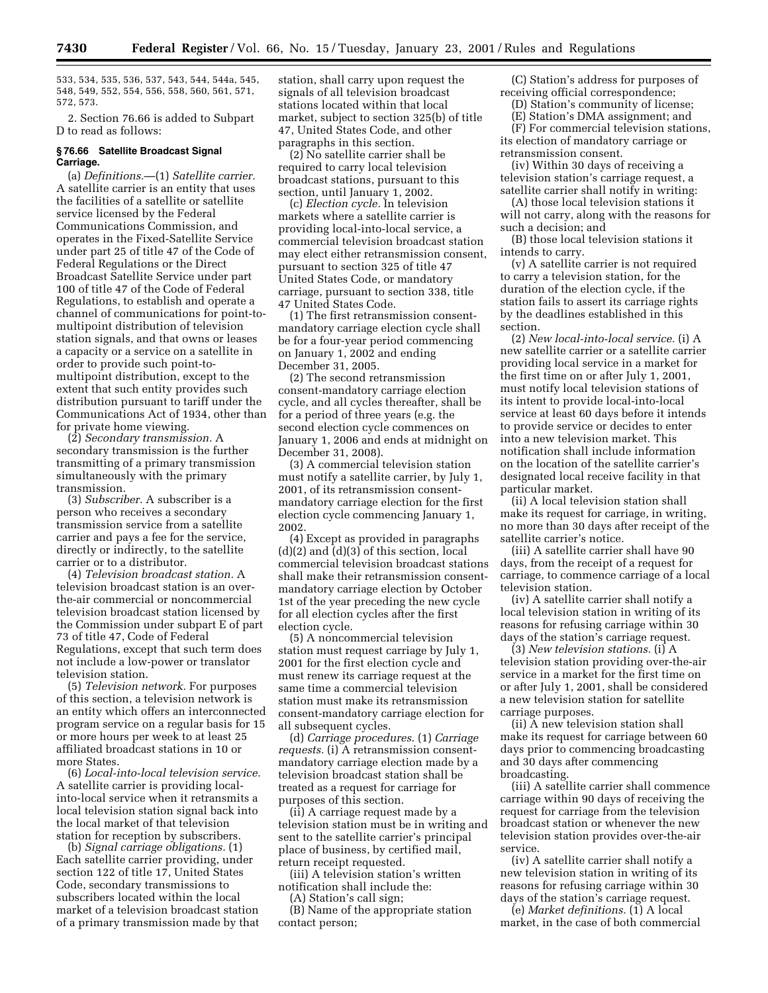533, 534, 535, 536, 537, 543, 544, 544a, 545, 548, 549, 552, 554, 556, 558, 560, 561, 571, 572, 573.

2. Section 76.66 is added to Subpart D to read as follows:

## **§ 76.66 Satellite Broadcast Signal Carriage.**

(a) *Definitions.*—(1) *Satellite carrier.* A satellite carrier is an entity that uses the facilities of a satellite or satellite service licensed by the Federal Communications Commission, and operates in the Fixed-Satellite Service under part 25 of title 47 of the Code of Federal Regulations or the Direct Broadcast Satellite Service under part 100 of title 47 of the Code of Federal Regulations, to establish and operate a channel of communications for point-tomultipoint distribution of television station signals, and that owns or leases a capacity or a service on a satellite in order to provide such point-tomultipoint distribution, except to the extent that such entity provides such distribution pursuant to tariff under the Communications Act of 1934, other than for private home viewing.

(2) *Secondary transmission.* A secondary transmission is the further transmitting of a primary transmission simultaneously with the primary transmission.

(3) *Subscriber.* A subscriber is a person who receives a secondary transmission service from a satellite carrier and pays a fee for the service, directly or indirectly, to the satellite carrier or to a distributor.

(4) *Television broadcast station.* A television broadcast station is an overthe-air commercial or noncommercial television broadcast station licensed by the Commission under subpart E of part 73 of title 47, Code of Federal Regulations, except that such term does not include a low-power or translator television station.

(5) *Television network.* For purposes of this section, a television network is an entity which offers an interconnected program service on a regular basis for 15 or more hours per week to at least 25 affiliated broadcast stations in 10 or more States.

(6) *Local-into-local television service.* A satellite carrier is providing localinto-local service when it retransmits a local television station signal back into the local market of that television station for reception by subscribers.

(b) *Signal carriage obligations.* (1) Each satellite carrier providing, under section 122 of title 17, United States Code, secondary transmissions to subscribers located within the local market of a television broadcast station of a primary transmission made by that station, shall carry upon request the signals of all television broadcast stations located within that local market, subject to section 325(b) of title 47, United States Code, and other paragraphs in this section.

(2) No satellite carrier shall be required to carry local television broadcast stations, pursuant to this section, until January 1, 2002.

(c) *Election cycle.* In television markets where a satellite carrier is providing local-into-local service, a commercial television broadcast station may elect either retransmission consent, pursuant to section 325 of title 47 United States Code, or mandatory carriage, pursuant to section 338, title 47 United States Code.

(1) The first retransmission consentmandatory carriage election cycle shall be for a four-year period commencing on January 1, 2002 and ending December 31, 2005.

(2) The second retransmission consent-mandatory carriage election cycle, and all cycles thereafter, shall be for a period of three years (e.g. the second election cycle commences on January 1, 2006 and ends at midnight on December 31, 2008).

(3) A commercial television station must notify a satellite carrier, by July 1, 2001, of its retransmission consentmandatory carriage election for the first election cycle commencing January 1, 2002.

(4) Except as provided in paragraphs (d)(2) and (d)(3) of this section, local commercial television broadcast stations shall make their retransmission consentmandatory carriage election by October 1st of the year preceding the new cycle for all election cycles after the first election cycle.

(5) A noncommercial television station must request carriage by July 1, 2001 for the first election cycle and must renew its carriage request at the same time a commercial television station must make its retransmission consent-mandatory carriage election for all subsequent cycles.

(d) *Carriage procedures*. (1) *Carriage requests.* (i) A retransmission consentmandatory carriage election made by a television broadcast station shall be treated as a request for carriage for purposes of this section.

(ii) A carriage request made by a television station must be in writing and sent to the satellite carrier's principal place of business, by certified mail, return receipt requested.

(iii) A television station's written notification shall include the:

(A) Station's call sign;

(B) Name of the appropriate station contact person;

(C) Station's address for purposes of receiving official correspondence;

(D) Station's community of license;

(E) Station's DMA assignment; and

(F) For commercial television stations, its election of mandatory carriage or retransmission consent.

(iv) Within 30 days of receiving a television station's carriage request, a satellite carrier shall notify in writing:

(A) those local television stations it will not carry, along with the reasons for such a decision; and

(B) those local television stations it intends to carry.

(v) A satellite carrier is not required to carry a television station, for the duration of the election cycle, if the station fails to assert its carriage rights by the deadlines established in this section.

(2) *New local-into-local service.* (i) A new satellite carrier or a satellite carrier providing local service in a market for the first time on or after July 1, 2001, must notify local television stations of its intent to provide local-into-local service at least 60 days before it intends to provide service or decides to enter into a new television market. This notification shall include information on the location of the satellite carrier's designated local receive facility in that particular market.

(ii) A local television station shall make its request for carriage, in writing, no more than 30 days after receipt of the satellite carrier's notice.

(iii) A satellite carrier shall have 90 days, from the receipt of a request for carriage, to commence carriage of a local television station.

(iv) A satellite carrier shall notify a local television station in writing of its reasons for refusing carriage within 30 days of the station's carriage request.

(3) *New television stations.* (i) A television station providing over-the-air service in a market for the first time on or after July 1, 2001, shall be considered a new television station for satellite carriage purposes.

(ii) A new television station shall make its request for carriage between 60 days prior to commencing broadcasting and 30 days after commencing broadcasting.

(iii) A satellite carrier shall commence carriage within 90 days of receiving the request for carriage from the television broadcast station or whenever the new television station provides over-the-air service.

(iv) A satellite carrier shall notify a new television station in writing of its reasons for refusing carriage within 30 days of the station's carriage request.

(e) *Market definitions.* (1) A local market, in the case of both commercial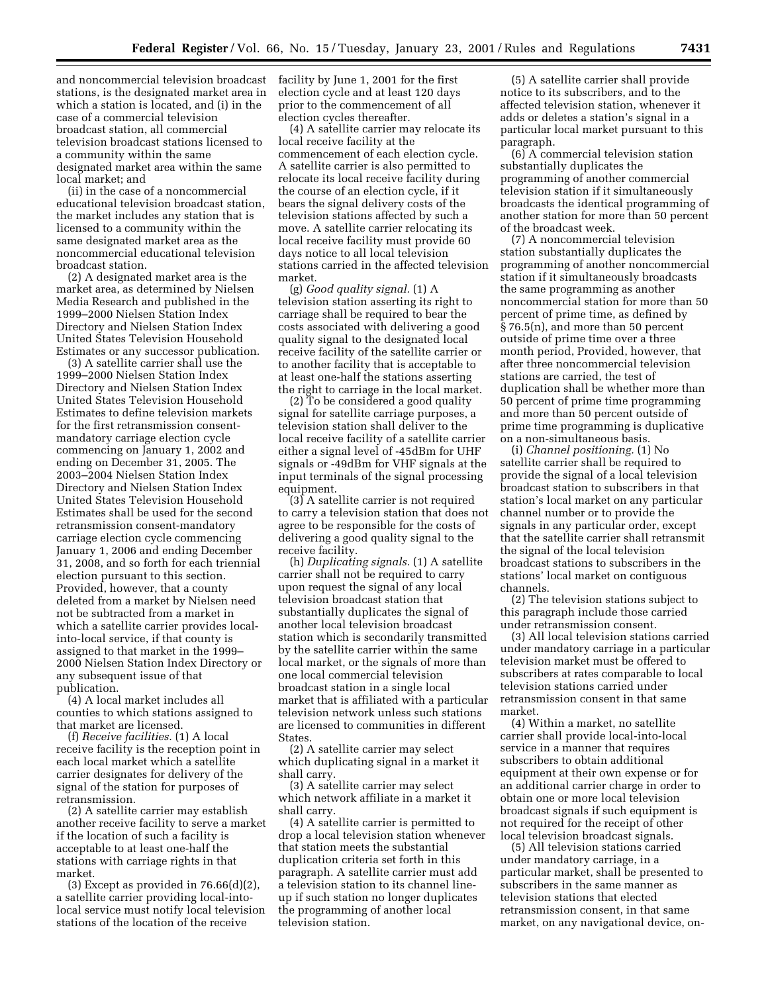and noncommercial television broadcast stations, is the designated market area in which a station is located, and (i) in the case of a commercial television broadcast station, all commercial television broadcast stations licensed to a community within the same designated market area within the same local market; and

(ii) in the case of a noncommercial educational television broadcast station, the market includes any station that is licensed to a community within the same designated market area as the noncommercial educational television broadcast station.

(2) A designated market area is the market area, as determined by Nielsen Media Research and published in the 1999–2000 Nielsen Station Index Directory and Nielsen Station Index United States Television Household Estimates or any successor publication.

(3) A satellite carrier shall use the 1999–2000 Nielsen Station Index Directory and Nielsen Station Index United States Television Household Estimates to define television markets for the first retransmission consentmandatory carriage election cycle commencing on January 1, 2002 and ending on December 31, 2005. The 2003–2004 Nielsen Station Index Directory and Nielsen Station Index United States Television Household Estimates shall be used for the second retransmission consent-mandatory carriage election cycle commencing January 1, 2006 and ending December 31, 2008, and so forth for each triennial election pursuant to this section. Provided, however, that a county deleted from a market by Nielsen need not be subtracted from a market in which a satellite carrier provides localinto-local service, if that county is assigned to that market in the 1999– 2000 Nielsen Station Index Directory or any subsequent issue of that publication.

(4) A local market includes all counties to which stations assigned to that market are licensed.

(f) *Receive facilities.* (1) A local receive facility is the reception point in each local market which a satellite carrier designates for delivery of the signal of the station for purposes of retransmission.

(2) A satellite carrier may establish another receive facility to serve a market if the location of such a facility is acceptable to at least one-half the stations with carriage rights in that market.

(3) Except as provided in  $76.66(d)(2)$ , a satellite carrier providing local-intolocal service must notify local television stations of the location of the receive

facility by June 1, 2001 for the first election cycle and at least 120 days prior to the commencement of all election cycles thereafter.

(4) A satellite carrier may relocate its local receive facility at the commencement of each election cycle. A satellite carrier is also permitted to relocate its local receive facility during the course of an election cycle, if it bears the signal delivery costs of the television stations affected by such a move. A satellite carrier relocating its local receive facility must provide 60 days notice to all local television stations carried in the affected television market.

(g) *Good quality signal.* (1) A television station asserting its right to carriage shall be required to bear the costs associated with delivering a good quality signal to the designated local receive facility of the satellite carrier or to another facility that is acceptable to at least one-half the stations asserting the right to carriage in the local market.

(2) To be considered a good quality signal for satellite carriage purposes, a television station shall deliver to the local receive facility of a satellite carrier either a signal level of -45dBm for UHF signals or -49dBm for VHF signals at the input terminals of the signal processing equipment.

(3) A satellite carrier is not required to carry a television station that does not agree to be responsible for the costs of delivering a good quality signal to the receive facility.

(h) *Duplicating signals.* (1) A satellite carrier shall not be required to carry upon request the signal of any local television broadcast station that substantially duplicates the signal of another local television broadcast station which is secondarily transmitted by the satellite carrier within the same local market, or the signals of more than one local commercial television broadcast station in a single local market that is affiliated with a particular television network unless such stations are licensed to communities in different States.

(2) A satellite carrier may select which duplicating signal in a market it shall carry.

(3) A satellite carrier may select which network affiliate in a market it shall carry.

(4) A satellite carrier is permitted to drop a local television station whenever that station meets the substantial duplication criteria set forth in this paragraph. A satellite carrier must add a television station to its channel lineup if such station no longer duplicates the programming of another local television station.

(5) A satellite carrier shall provide notice to its subscribers, and to the affected television station, whenever it adds or deletes a station's signal in a particular local market pursuant to this paragraph.

(6) A commercial television station substantially duplicates the programming of another commercial television station if it simultaneously broadcasts the identical programming of another station for more than 50 percent of the broadcast week.

(7) A noncommercial television station substantially duplicates the programming of another noncommercial station if it simultaneously broadcasts the same programming as another noncommercial station for more than 50 percent of prime time, as defined by § 76.5(n), and more than 50 percent outside of prime time over a three month period, Provided, however, that after three noncommercial television stations are carried, the test of duplication shall be whether more than 50 percent of prime time programming and more than 50 percent outside of prime time programming is duplicative on a non-simultaneous basis.

(i) *Channel positioning.* (1) No satellite carrier shall be required to provide the signal of a local television broadcast station to subscribers in that station's local market on any particular channel number or to provide the signals in any particular order, except that the satellite carrier shall retransmit the signal of the local television broadcast stations to subscribers in the stations' local market on contiguous channels.

(2) The television stations subject to this paragraph include those carried under retransmission consent.

(3) All local television stations carried under mandatory carriage in a particular television market must be offered to subscribers at rates comparable to local television stations carried under retransmission consent in that same market.

(4) Within a market, no satellite carrier shall provide local-into-local service in a manner that requires subscribers to obtain additional equipment at their own expense or for an additional carrier charge in order to obtain one or more local television broadcast signals if such equipment is not required for the receipt of other local television broadcast signals.

(5) All television stations carried under mandatory carriage, in a particular market, shall be presented to subscribers in the same manner as television stations that elected retransmission consent, in that same market, on any navigational device, on